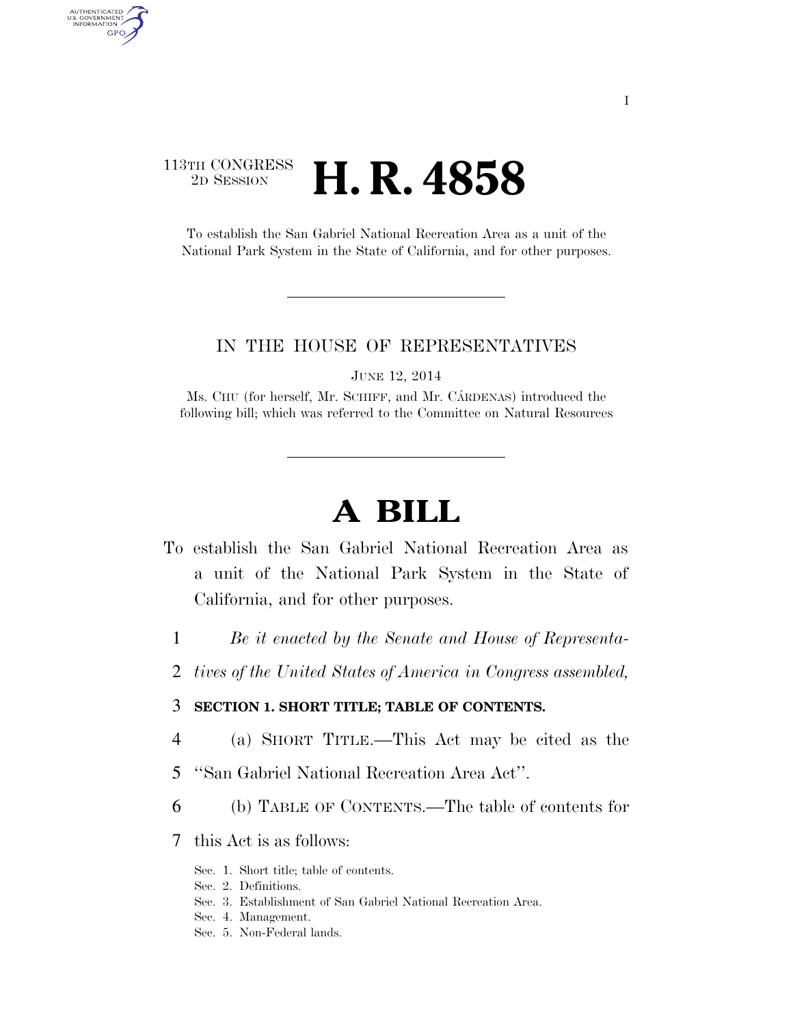# 113TH CONGRESS <sup>2D SESSION</sup> **H. R. 4858**

AUTHENTICATED U.S. GOVERNMENT GPO

> To establish the San Gabriel National Recreation Area as a unit of the National Park System in the State of California, and for other purposes.

#### IN THE HOUSE OF REPRESENTATIVES

JUNE 12, 2014

Ms. CHU (for herself, Mr. SCHIFF, and Mr. CARDENAS) introduced the following bill; which was referred to the Committee on Natural Resources

# **A BILL**

- To establish the San Gabriel National Recreation Area as a unit of the National Park System in the State of California, and for other purposes.
	- 1 *Be it enacted by the Senate and House of Representa-*
	- 2 *tives of the United States of America in Congress assembled,*

#### 3 **SECTION 1. SHORT TITLE; TABLE OF CONTENTS.**

- 4 (a) SHORT TITLE.—This Act may be cited as the
- 5 ''San Gabriel National Recreation Area Act''.
- 6 (b) TABLE OF CONTENTS.—The table of contents for
- 7 this Act is as follows:
	- Sec. 1. Short title; table of contents.
	- Sec. 2. Definitions.
	- Sec. 3. Establishment of San Gabriel National Recreation Area.
	- Sec. 4. Management.
	- Sec. 5. Non-Federal lands.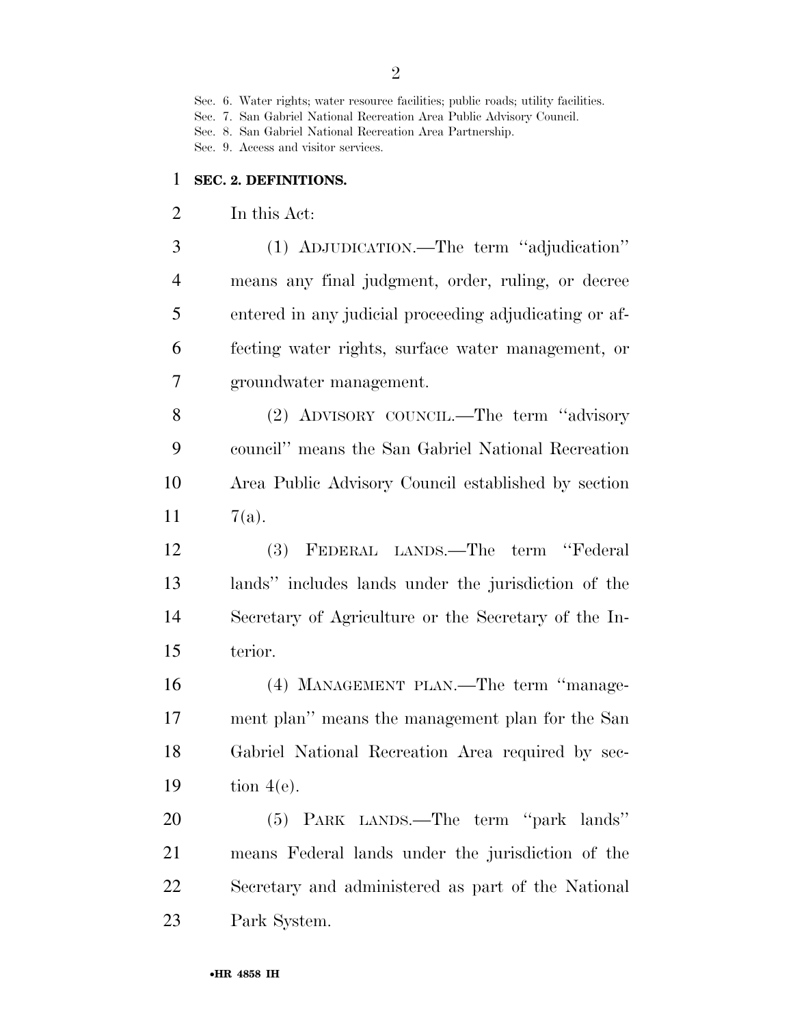Sec. 7. San Gabriel National Recreation Area Public Advisory Council.

Sec. 8. San Gabriel National Recreation Area Partnership.

Sec. 9. Access and visitor services.

### **SEC. 2. DEFINITIONS.**

In this Act:

 (1) ADJUDICATION.—The term ''adjudication'' means any final judgment, order, ruling, or decree entered in any judicial proceeding adjudicating or af- fecting water rights, surface water management, or groundwater management.

 (2) ADVISORY COUNCIL.—The term ''advisory council'' means the San Gabriel National Recreation Area Public Advisory Council established by section 11  $7(a)$ .

 (3) FEDERAL LANDS.—The term ''Federal lands'' includes lands under the jurisdiction of the Secretary of Agriculture or the Secretary of the In-terior.

 (4) MANAGEMENT PLAN.—The term ''manage- ment plan'' means the management plan for the San Gabriel National Recreation Area required by sec-tion 4(e).

 (5) PARK LANDS.—The term ''park lands'' means Federal lands under the jurisdiction of the Secretary and administered as part of the National Park System.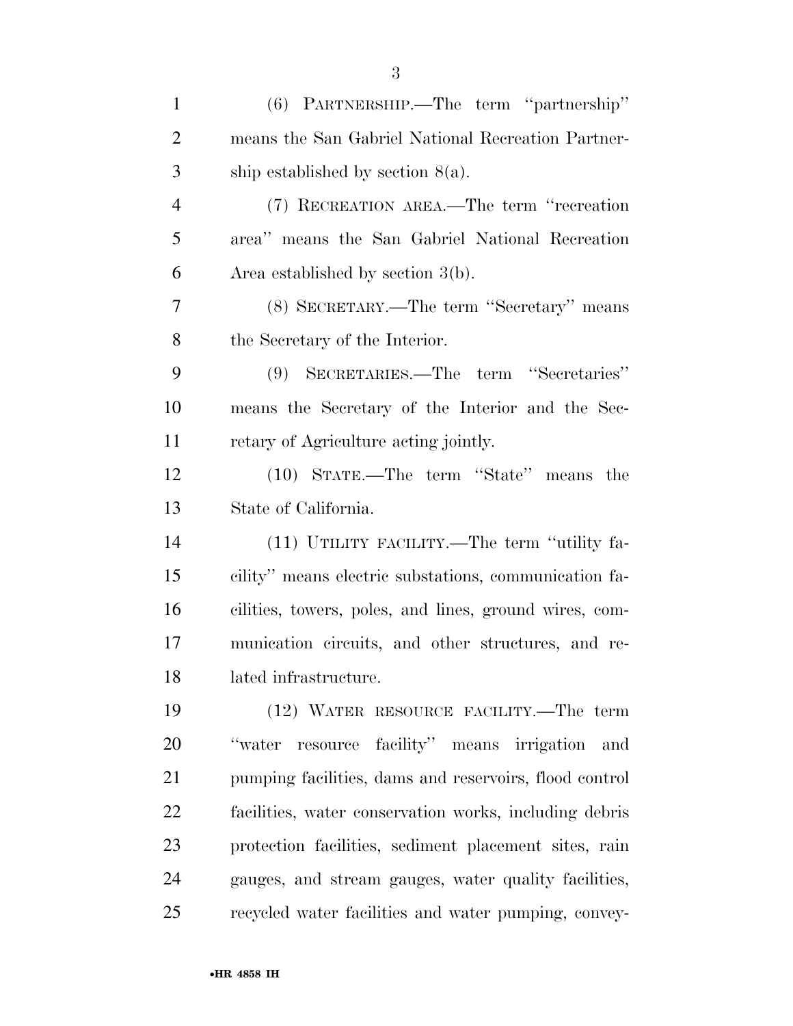| $\mathbf{1}$   | (6) PARTNERSHIP.—The term "partnership"                |
|----------------|--------------------------------------------------------|
| $\overline{2}$ | means the San Gabriel National Recreation Partner-     |
| 3              | ship established by section $8(a)$ .                   |
| $\overline{4}$ | (7) RECREATION AREA.—The term "recreation              |
| 5              | area" means the San Gabriel National Recreation        |
| 6              | Area established by section $3(b)$ .                   |
| 7              | (8) SECRETARY.—The term "Secretary" means              |
| 8              | the Secretary of the Interior.                         |
| 9              | (9) SECRETARIES.—The term "Secretaries"                |
| 10             | means the Secretary of the Interior and the Sec-       |
| 11             | retary of Agriculture acting jointly.                  |
| 12             | (10) STATE.—The term "State" means the                 |
| 13             | State of California.                                   |
| 14             | (11) UTILITY FACILITY.—The term "utility fa-           |
| 15             | cility" means electric substations, communication fa-  |
| 16             | cilities, towers, poles, and lines, ground wires, com- |
| 17             | munication circuits, and other structures, and re-     |
| 18             | lated infrastructure.                                  |
| 19             | (12) WATER RESOURCE FACILITY.—The term                 |
| 20             | resource facility" means irrigation and<br>"water"     |
| 21             | pumping facilities, dams and reservoirs, flood control |
| 22             | facilities, water conservation works, including debris |
| 23             | protection facilities, sediment placement sites, rain  |
| 24             | gauges, and stream gauges, water quality facilities,   |
| 25             | recycled water facilities and water pumping, convey-   |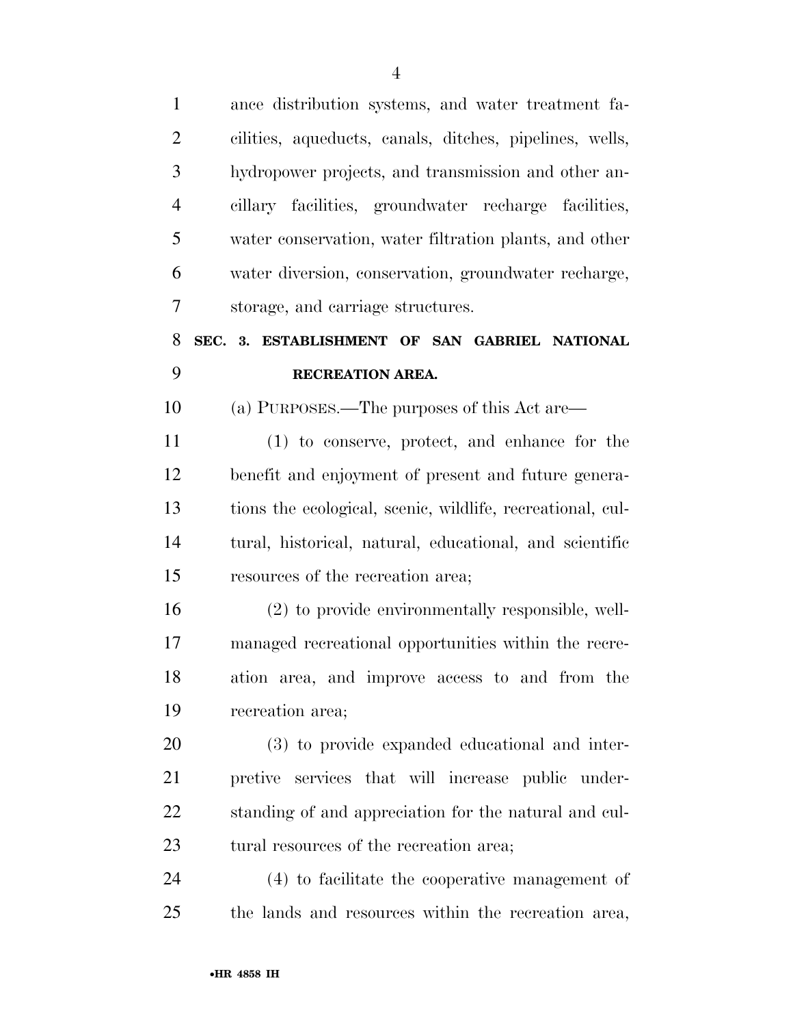ance distribution systems, and water treatment fa- cilities, aqueducts, canals, ditches, pipelines, wells, hydropower projects, and transmission and other an- cillary facilities, groundwater recharge facilities, water conservation, water filtration plants, and other water diversion, conservation, groundwater recharge, storage, and carriage structures. **SEC. 3. ESTABLISHMENT OF SAN GABRIEL NATIONAL RECREATION AREA.**  (a) PURPOSES.—The purposes of this Act are— (1) to conserve, protect, and enhance for the benefit and enjoyment of present and future genera- tions the ecological, scenic, wildlife, recreational, cul- tural, historical, natural, educational, and scientific resources of the recreation area; (2) to provide environmentally responsible, well- managed recreational opportunities within the recre- ation area, and improve access to and from the recreation area; (3) to provide expanded educational and inter- pretive services that will increase public under- standing of and appreciation for the natural and cul-23 tural resources of the recreation area; (4) to facilitate the cooperative management of

the lands and resources within the recreation area,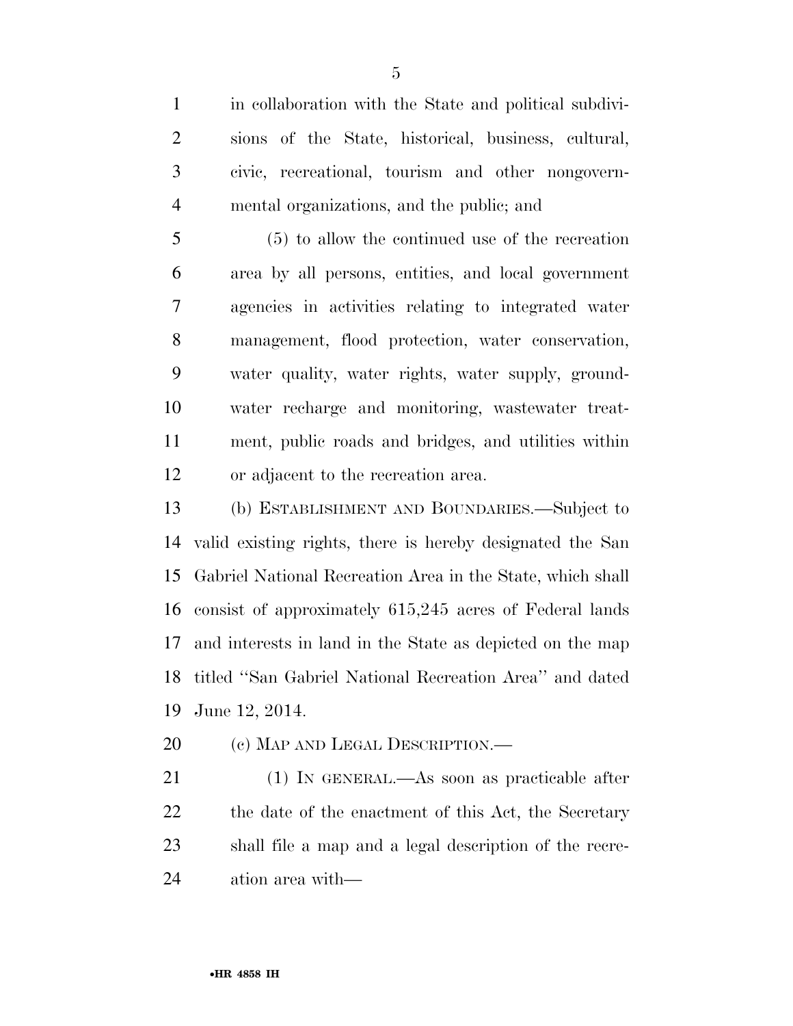in collaboration with the State and political subdivi- sions of the State, historical, business, cultural, civic, recreational, tourism and other nongovern-mental organizations, and the public; and

 (5) to allow the continued use of the recreation area by all persons, entities, and local government agencies in activities relating to integrated water management, flood protection, water conservation, water quality, water rights, water supply, ground- water recharge and monitoring, wastewater treat- ment, public roads and bridges, and utilities within or adjacent to the recreation area.

 (b) ESTABLISHMENT AND BOUNDARIES.—Subject to valid existing rights, there is hereby designated the San Gabriel National Recreation Area in the State, which shall consist of approximately 615,245 acres of Federal lands and interests in land in the State as depicted on the map titled ''San Gabriel National Recreation Area'' and dated June 12, 2014.

20 (c) MAP AND LEGAL DESCRIPTION.—

 (1) IN GENERAL.—As soon as practicable after 22 the date of the enactment of this Act, the Secretary shall file a map and a legal description of the recre-ation area with—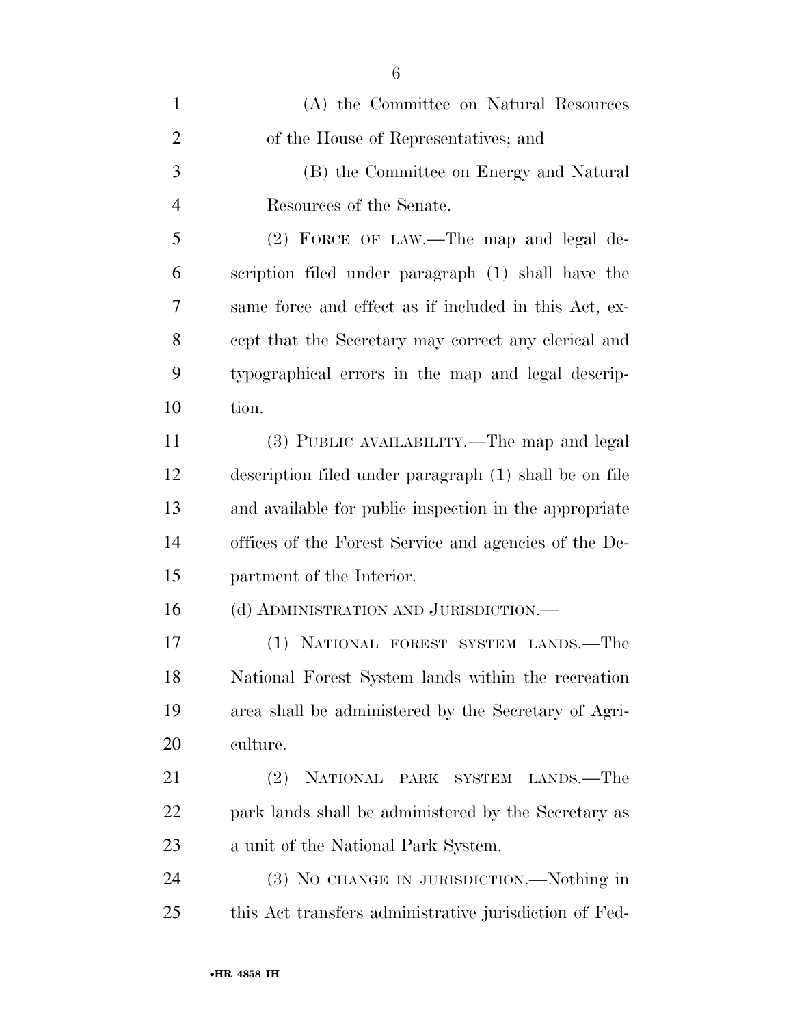| $\mathbf{1}$   | (A) the Committee on Natural Resources                 |
|----------------|--------------------------------------------------------|
| $\overline{2}$ | of the House of Representatives; and                   |
| 3              | (B) the Committee on Energy and Natural                |
| $\overline{4}$ | Resources of the Senate.                               |
| 5              | (2) FORCE OF LAW.—The map and legal de-                |
| 6              | scription filed under paragraph (1) shall have the     |
| 7              | same force and effect as if included in this Act, ex-  |
| 8              | cept that the Secretary may correct any clerical and   |
| 9              | typographical errors in the map and legal descrip-     |
| 10             | tion.                                                  |
| 11             | (3) PUBLIC AVAILABILITY.—The map and legal             |
| 12             | description filed under paragraph (1) shall be on file |
| 13             | and available for public inspection in the appropriate |
| 14             | offices of the Forest Service and agencies of the De-  |
| 15             | partment of the Interior.                              |
| 16             | (d) ADMINISTRATION AND JURISDICTION.—                  |
| 17             | (1) NATIONAL FOREST SYSTEM LANDS.—The                  |
| 18             | National Forest System lands within the recreation     |
| 19             | area shall be administered by the Secretary of Agri-   |
| 20             | culture.                                               |
| 21             | (2)<br>NATIONAL PARK SYSTEM<br>LANDS.—The              |
| 22             | park lands shall be administered by the Secretary as   |
| 23             | a unit of the National Park System.                    |
| 24             | (3) NO CHANGE IN JURISDICTION.—Nothing in              |
| 25             | this Act transfers administrative jurisdiction of Fed- |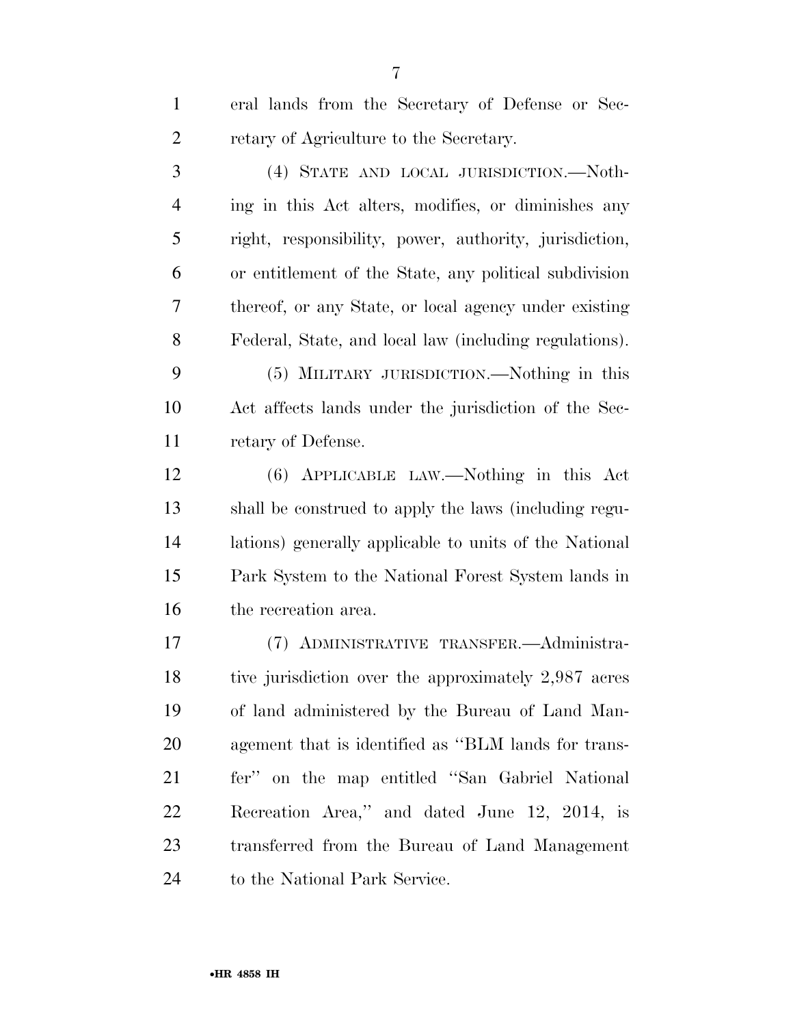eral lands from the Secretary of Defense or Sec- retary of Agriculture to the Secretary. (4) STATE AND LOCAL JURISDICTION.—Noth- ing in this Act alters, modifies, or diminishes any right, responsibility, power, authority, jurisdiction, or entitlement of the State, any political subdivision thereof, or any State, or local agency under existing Federal, State, and local law (including regulations). (5) MILITARY JURISDICTION.—Nothing in this Act affects lands under the jurisdiction of the Sec- retary of Defense. (6) APPLICABLE LAW.—Nothing in this Act shall be construed to apply the laws (including regu- lations) generally applicable to units of the National Park System to the National Forest System lands in the recreation area. (7) ADMINISTRATIVE TRANSFER.—Administra- tive jurisdiction over the approximately 2,987 acres of land administered by the Bureau of Land Man- agement that is identified as ''BLM lands for trans-fer'' on the map entitled ''San Gabriel National

 Recreation Area,'' and dated June 12, 2014, is transferred from the Bureau of Land Management 24 to the National Park Service.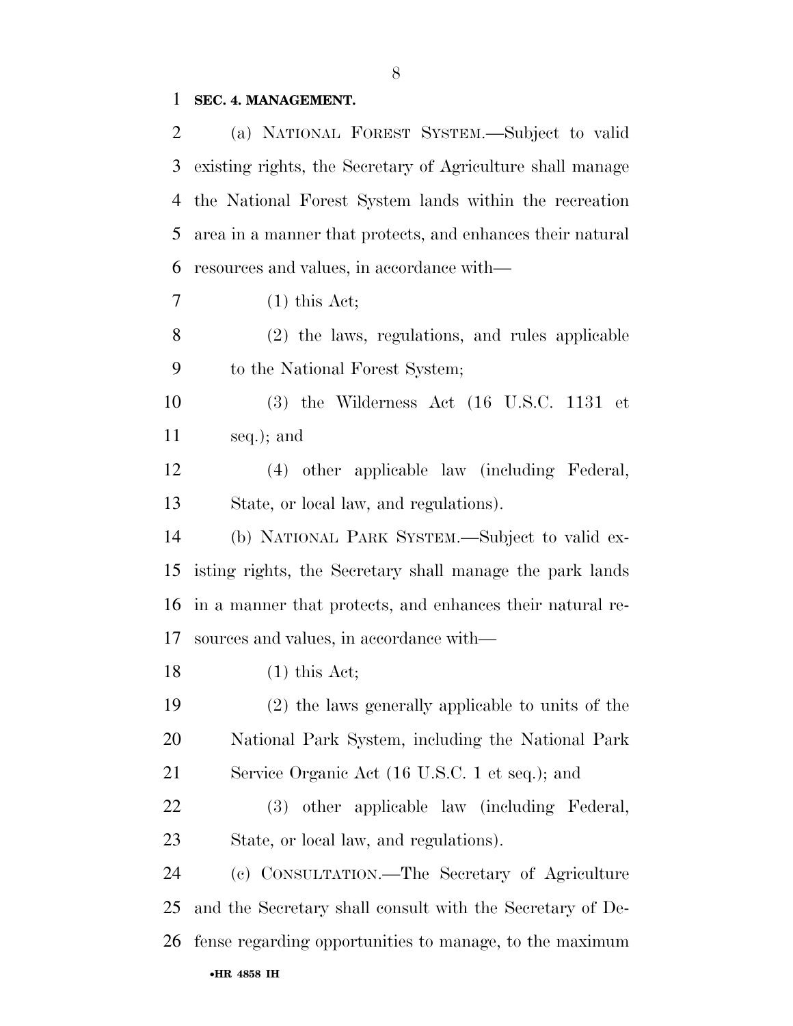## **SEC. 4. MANAGEMENT.**

| 2  | (a) NATIONAL FOREST SYSTEM.—Subject to valid                    |
|----|-----------------------------------------------------------------|
| 3  | existing rights, the Secretary of Agriculture shall manage      |
| 4  | the National Forest System lands within the recreation          |
| 5  | area in a manner that protects, and enhances their natural      |
| 6  | resources and values, in accordance with—                       |
| 7  | $(1)$ this Act;                                                 |
| 8  | (2) the laws, regulations, and rules applicable                 |
| 9  | to the National Forest System;                                  |
| 10 | $(3)$ the Wilderness Act $(16 \text{ U.S.C. } 1131 \text{ et }$ |
| 11 | seq.); and                                                      |
| 12 | (4) other applicable law (including Federal,                    |
| 13 | State, or local law, and regulations).                          |
| 14 | (b) NATIONAL PARK SYSTEM.—Subject to valid ex-                  |
| 15 | isting rights, the Secretary shall manage the park lands        |
| 16 | in a manner that protects, and enhances their natural re-       |
| 17 | sources and values, in accordance with—                         |
| 18 | $(1)$ this Act;                                                 |
| 19 | (2) the laws generally applicable to units of the               |
| 20 | National Park System, including the National Park               |
| 21 | Service Organic Act (16 U.S.C. 1 et seq.); and                  |
| 22 | other applicable law (including Federal,<br>(3)                 |
| 23 | State, or local law, and regulations).                          |
| 24 | (c) CONSULTATION.—The Secretary of Agriculture                  |
| 25 | and the Secretary shall consult with the Secretary of De-       |
| 26 | fense regarding opportunities to manage, to the maximum         |
|    | •HR 4858 IH                                                     |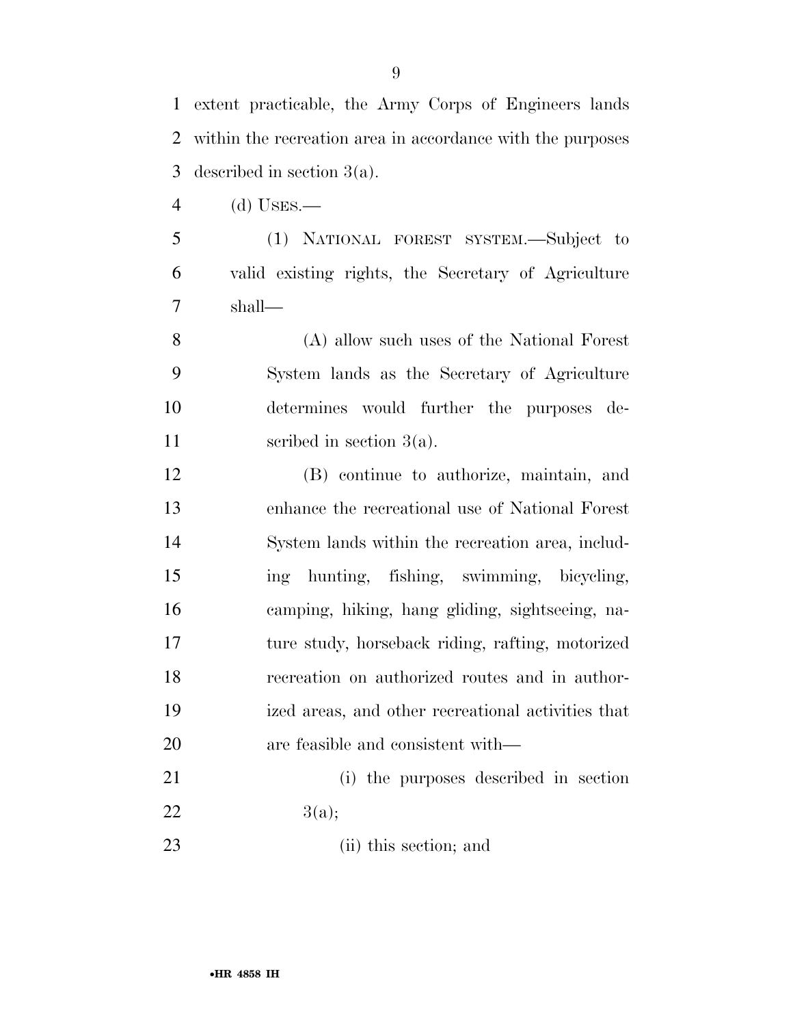extent practicable, the Army Corps of Engineers lands within the recreation area in accordance with the purposes described in section 3(a).

- (d) USES.—
- (1) NATIONAL FOREST SYSTEM.—Subject to valid existing rights, the Secretary of Agriculture shall—

 (A) allow such uses of the National Forest System lands as the Secretary of Agriculture determines would further the purposes de-11 section 3(a).

 (B) continue to authorize, maintain, and enhance the recreational use of National Forest System lands within the recreation area, includ- ing hunting, fishing, swimming, bicycling, camping, hiking, hang gliding, sightseeing, na- ture study, horseback riding, rafting, motorized recreation on authorized routes and in author- ized areas, and other recreational activities that are feasible and consistent with—

 (i) the purposes described in section 22  $3(a);$ 

(ii) this section; and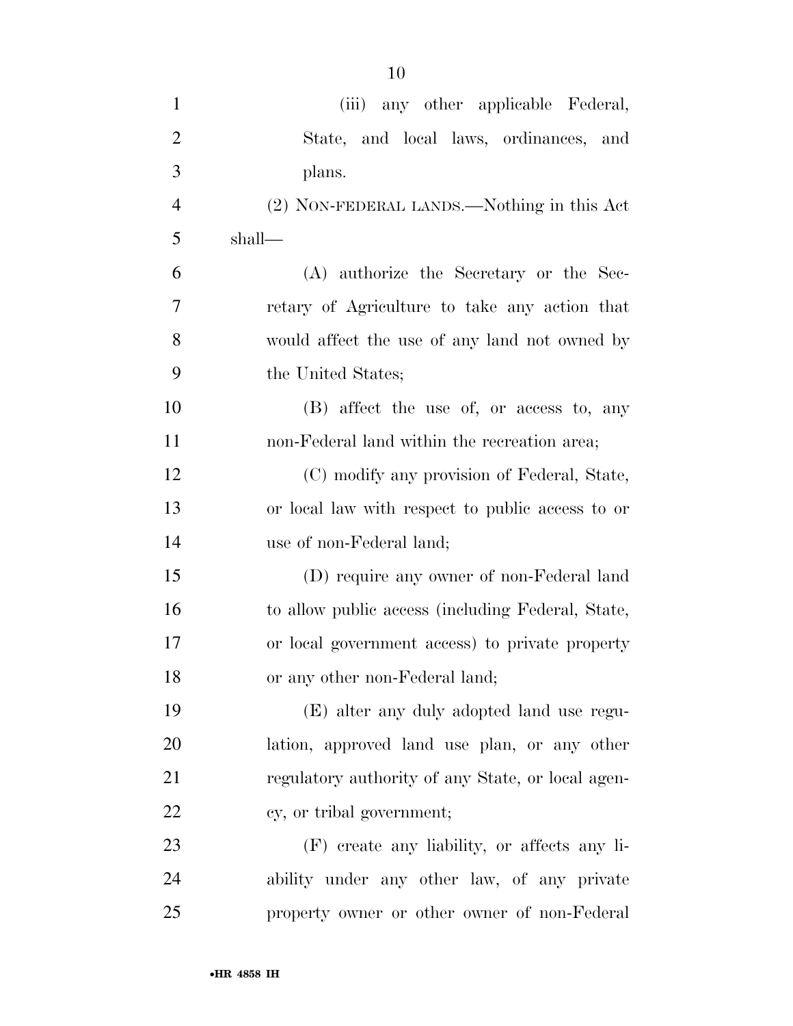| $\mathbf{1}$   | (iii) any other applicable Federal,               |
|----------------|---------------------------------------------------|
| $\overline{2}$ | State, and local laws, ordinances, and            |
| 3              | plans.                                            |
| $\overline{4}$ | (2) NON-FEDERAL LANDS.—Nothing in this Act        |
| 5              | shall—                                            |
| 6              | (A) authorize the Secretary or the Sec-           |
| 7              | retary of Agriculture to take any action that     |
| 8              | would affect the use of any land not owned by     |
| 9              | the United States;                                |
| 10             | (B) affect the use of, or access to, any          |
| 11             | non-Federal land within the recreation area;      |
| 12             | (C) modify any provision of Federal, State,       |
| 13             | or local law with respect to public access to or  |
| 14             | use of non-Federal land;                          |
| 15             | (D) require any owner of non-Federal land         |
| 16             | to allow public access (including Federal, State, |
| 17             | or local government access) to private property   |
| 18             | or any other non-Federal land;                    |
| 19             | (E) alter any duly adopted land use regu-         |
| 20             | lation, approved land use plan, or any other      |
| 21             | regulatory authority of any State, or local agen- |
| 22             | cy, or tribal government;                         |
| 23             | (F) create any liability, or affects any li-      |
| 24             | ability under any other law, of any private       |
| 25             | property owner or other owner of non-Federal      |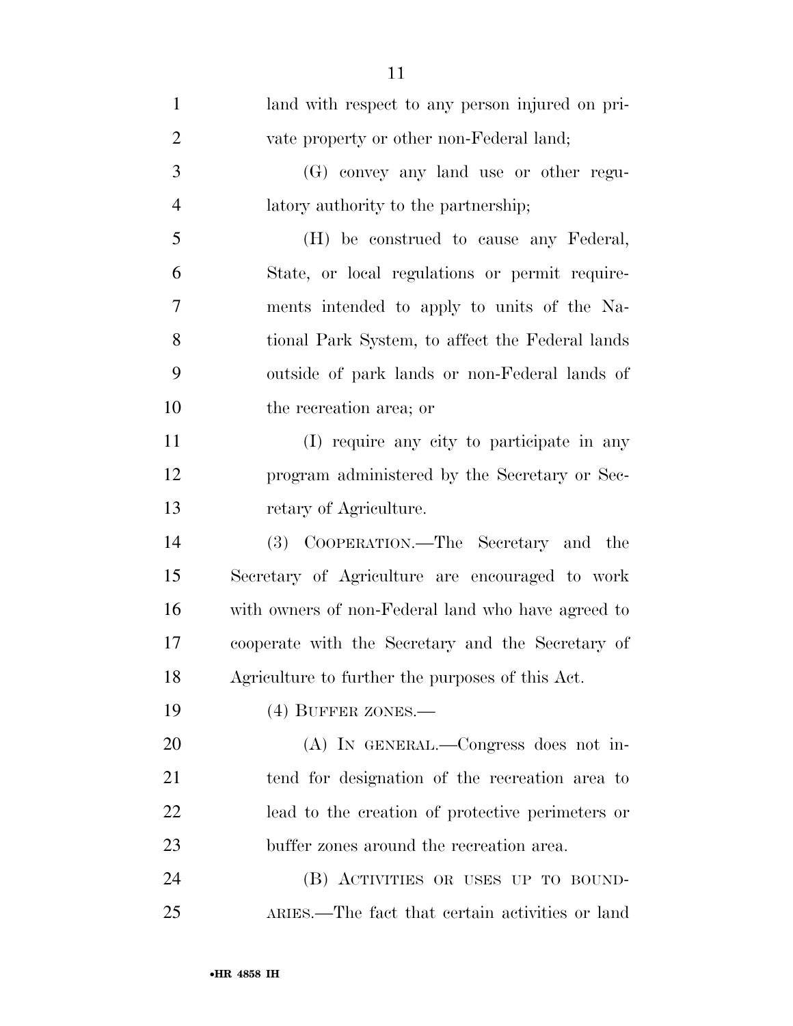| $\mathbf{1}$   | land with respect to any person injured on pri-    |
|----------------|----------------------------------------------------|
| $\overline{2}$ | vate property or other non-Federal land;           |
| 3              | (G) convey any land use or other regu-             |
| $\overline{4}$ | latory authority to the partnership;               |
| 5              | (H) be construed to cause any Federal,             |
| 6              | State, or local regulations or permit require-     |
| 7              | ments intended to apply to units of the Na-        |
| 8              | tional Park System, to affect the Federal lands    |
| 9              | outside of park lands or non-Federal lands of      |
| 10             | the recreation area; or                            |
| 11             | (I) require any city to participate in any         |
| 12             | program administered by the Secretary or Sec-      |
| 13             | retary of Agriculture.                             |
| 14             | (3) COOPERATION.—The Secretary and the             |
| 15             | Secretary of Agriculture are encouraged to work    |
| 16             | with owners of non-Federal land who have agreed to |
| 17             | cooperate with the Secretary and the Secretary of  |
| 18             | Agriculture to further the purposes of this Act.   |
| 19             | (4) BUFFER ZONES.-                                 |
| 20             | (A) IN GENERAL.—Congress does not in-              |
| 21             | tend for designation of the recreation area to     |
| 22             | lead to the creation of protective perimeters or   |
| 23             | buffer zones around the recreation area.           |
| 24             | (B) ACTIVITIES OR USES UP TO BOUND-                |
| 25             | ARIES.—The fact that certain activities or land    |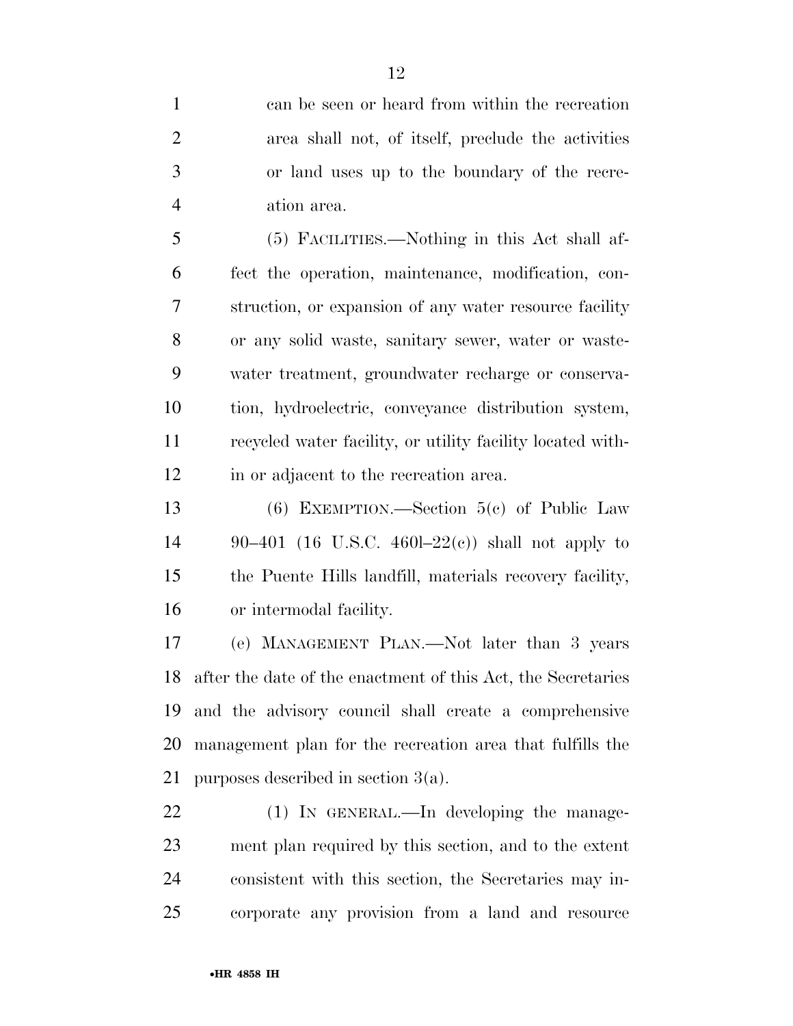can be seen or heard from within the recreation area shall not, of itself, preclude the activities or land uses up to the boundary of the recre-ation area.

 (5) FACILITIES.—Nothing in this Act shall af- fect the operation, maintenance, modification, con- struction, or expansion of any water resource facility or any solid waste, sanitary sewer, water or waste- water treatment, groundwater recharge or conserva- tion, hydroelectric, conveyance distribution system, recycled water facility, or utility facility located with-in or adjacent to the recreation area.

 (6) EXEMPTION.—Section 5(c) of Public Law 90–401 (16 U.S.C. 460l–22(c)) shall not apply to the Puente Hills landfill, materials recovery facility, or intermodal facility.

 (e) MANAGEMENT PLAN.—Not later than 3 years after the date of the enactment of this Act, the Secretaries and the advisory council shall create a comprehensive management plan for the recreation area that fulfills the purposes described in section 3(a).

22 (1) IN GENERAL.—In developing the manage- ment plan required by this section, and to the extent consistent with this section, the Secretaries may in-corporate any provision from a land and resource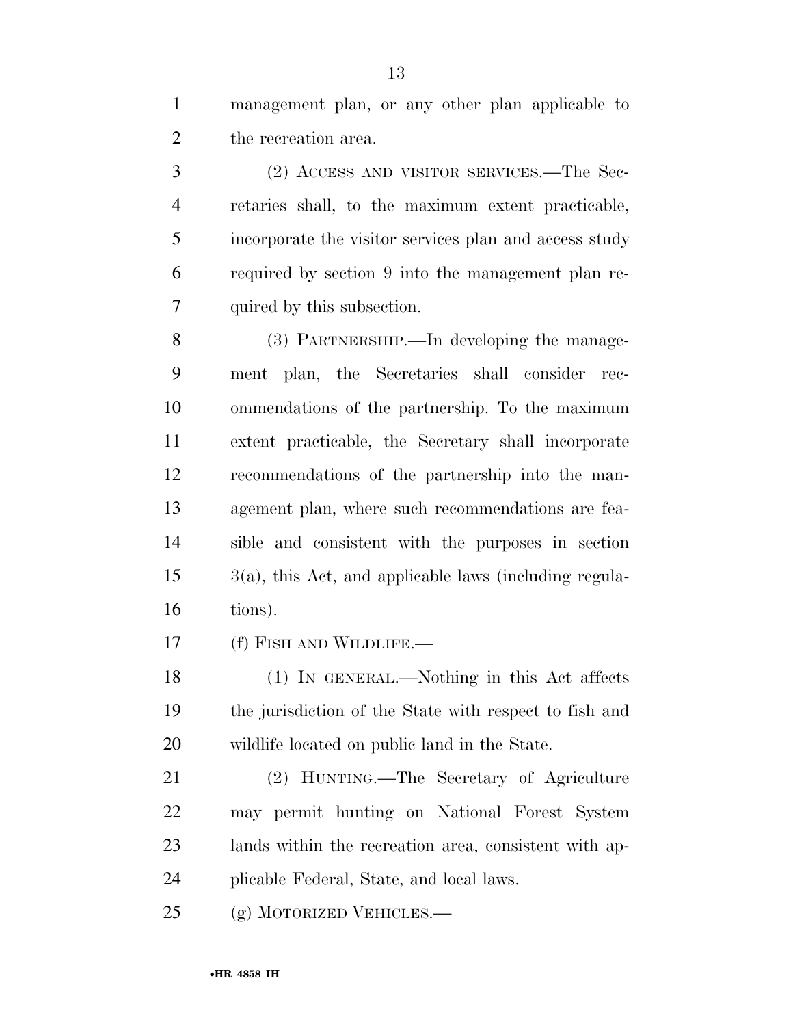management plan, or any other plan applicable to the recreation area.

 (2) ACCESS AND VISITOR SERVICES.—The Sec- retaries shall, to the maximum extent practicable, incorporate the visitor services plan and access study required by section 9 into the management plan re-quired by this subsection.

 (3) PARTNERSHIP.—In developing the manage- ment plan, the Secretaries shall consider rec- ommendations of the partnership. To the maximum extent practicable, the Secretary shall incorporate recommendations of the partnership into the man- agement plan, where such recommendations are fea- sible and consistent with the purposes in section 3(a), this Act, and applicable laws (including regula-tions).

(f) FISH AND WILDLIFE.—

 (1) IN GENERAL.—Nothing in this Act affects the jurisdiction of the State with respect to fish and wildlife located on public land in the State.

 (2) HUNTING.—The Secretary of Agriculture may permit hunting on National Forest System lands within the recreation area, consistent with ap-plicable Federal, State, and local laws.

25 (g) MOTORIZED VEHICLES.—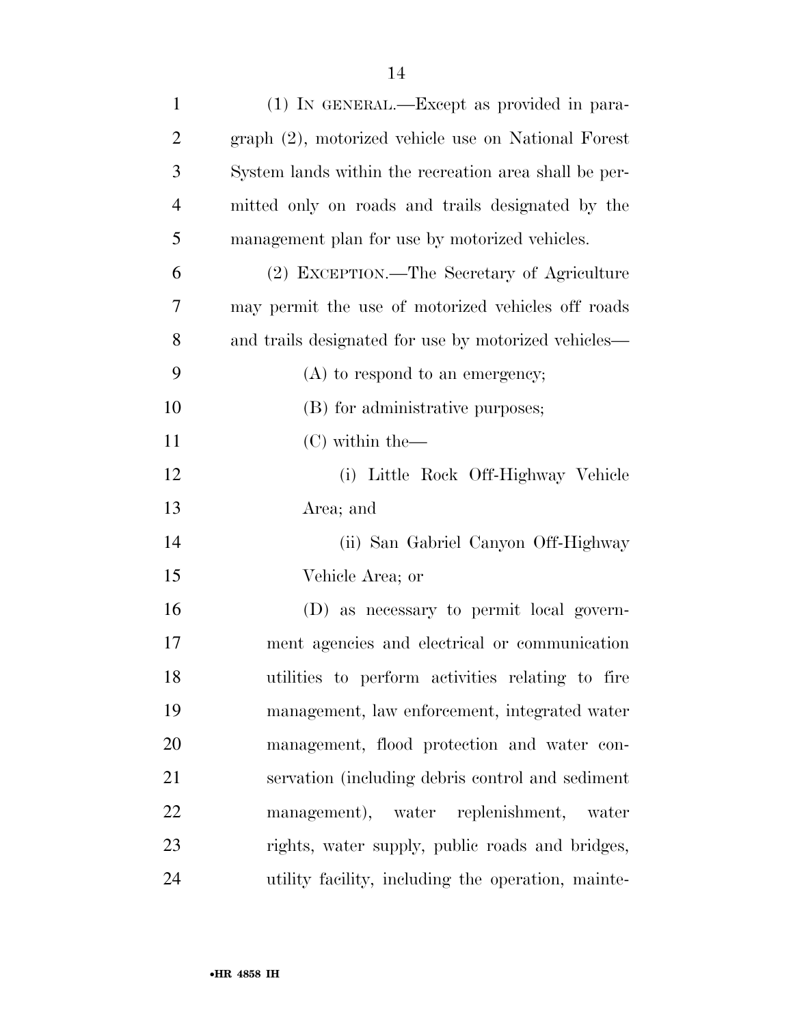| $\mathbf{1}$   | (1) IN GENERAL.—Except as provided in para-           |
|----------------|-------------------------------------------------------|
| $\overline{2}$ | graph (2), motorized vehicle use on National Forest   |
| 3              | System lands within the recreation area shall be per- |
| $\overline{4}$ | mitted only on roads and trails designated by the     |
| 5              | management plan for use by motorized vehicles.        |
| 6              | (2) EXCEPTION.—The Secretary of Agriculture           |
| 7              | may permit the use of motorized vehicles off roads    |
| 8              | and trails designated for use by motorized vehicles—  |
| 9              | $(A)$ to respond to an emergency;                     |
| 10             | (B) for administrative purposes;                      |
| 11             | $(C)$ within the —                                    |
| 12             | (i) Little Rock Off-Highway Vehicle                   |
| 13             | Area; and                                             |
| 14             | (ii) San Gabriel Canyon Off-Highway                   |
| 15             | Vehicle Area; or                                      |
| 16             | (D) as necessary to permit local govern-              |
| 17             | ment agencies and electrical or communication         |
| 18             | utilities to perform activities relating to fire      |
| 19             | management, law enforcement, integrated water         |
| 20             | management, flood protection and water con-           |
| 21             | servation (including debris control and sediment      |
| 22             | management), water replenishment, water               |
| 23             | rights, water supply, public roads and bridges,       |
| 24             | utility facility, including the operation, mainte-    |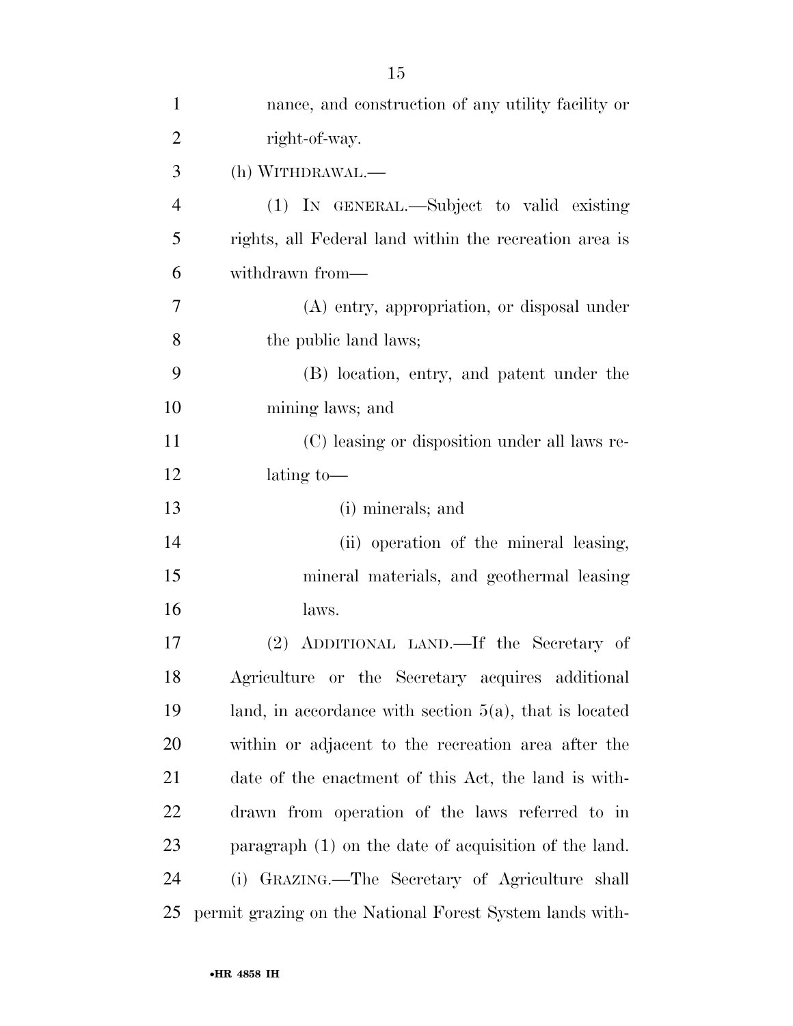| $\mathbf{1}$   | nance, and construction of any utility facility or        |
|----------------|-----------------------------------------------------------|
| $\overline{2}$ | right-of-way.                                             |
| 3              | (h) WITHDRAWAL.—                                          |
| $\overline{4}$ | (1) IN GENERAL.—Subject to valid existing                 |
| 5              | rights, all Federal land within the recreation area is    |
| 6              | withdrawn from—                                           |
| 7              | (A) entry, appropriation, or disposal under               |
| 8              | the public land laws;                                     |
| 9              | (B) location, entry, and patent under the                 |
| 10             | mining laws; and                                          |
| 11             | (C) leasing or disposition under all laws re-             |
| 12             | lating to-                                                |
| 13             | (i) minerals; and                                         |
| 14             | (ii) operation of the mineral leasing,                    |
| 15             | mineral materials, and geothermal leasing                 |
| 16             | laws.                                                     |
| 17             | (2) ADDITIONAL LAND.—If the Secretary of                  |
| 18             | Agriculture or the Secretary acquires additional          |
| 19             | land, in accordance with section $5(a)$ , that is located |
| 20             | within or adjacent to the recreation area after the       |
| 21             | date of the enactment of this Act, the land is with-      |
| 22             | drawn from operation of the laws referred to in           |
| 23             | paragraph $(1)$ on the date of acquisition of the land.   |
| 24             | (i) GRAZING.—The Secretary of Agriculture shall           |
| 25             | permit grazing on the National Forest System lands with-  |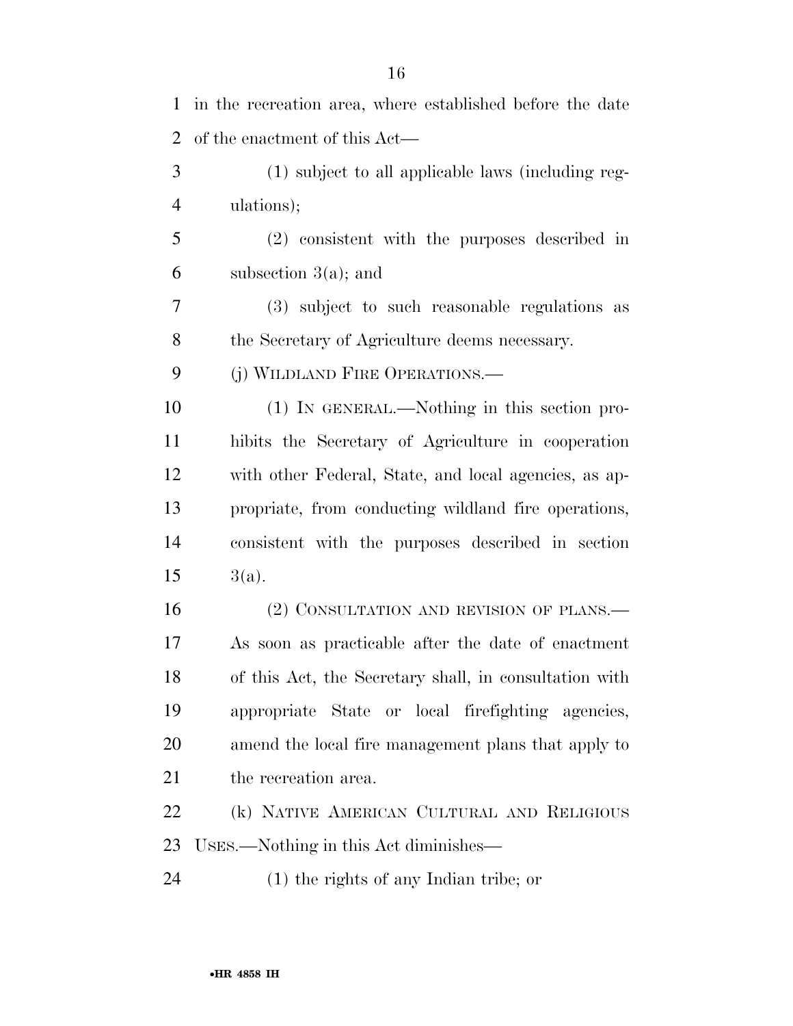| $\mathbf{1}$   | in the recreation area, where established before the date |
|----------------|-----------------------------------------------------------|
| $\overline{2}$ | of the enactment of this Act—                             |
| 3              | (1) subject to all applicable laws (including reg-        |
| $\overline{4}$ | ulations);                                                |
| 5              | (2) consistent with the purposes described in             |
| 6              | subsection $3(a)$ ; and                                   |
| 7              | (3) subject to such reasonable regulations as             |
| 8              | the Secretary of Agriculture deems necessary.             |
| 9              | (j) WILDLAND FIRE OPERATIONS.—                            |
| 10             | (1) IN GENERAL.—Nothing in this section pro-              |
| 11             | hibits the Secretary of Agriculture in cooperation        |
| 12             | with other Federal, State, and local agencies, as ap-     |
| 13             | propriate, from conducting wildland fire operations,      |
| 14             | consistent with the purposes described in section         |
| 15             | $3(a)$ .                                                  |
| 16             | (2) CONSULTATION AND REVISION OF PLANS.—                  |
| 17             | As soon as practicable after the date of enactment        |
| 18             | of this Act, the Secretary shall, in consultation with    |
| 19             | appropriate State or local firefighting agencies,         |
| 20             | amend the local fire management plans that apply to       |
| 21             | the recreation area.                                      |
| 22             | (k) NATIVE AMERICAN CULTURAL AND RELIGIOUS                |
| 23             | USES.—Nothing in this Act diminishes—                     |
| 24             | $(1)$ the rights of any Indian tribe; or                  |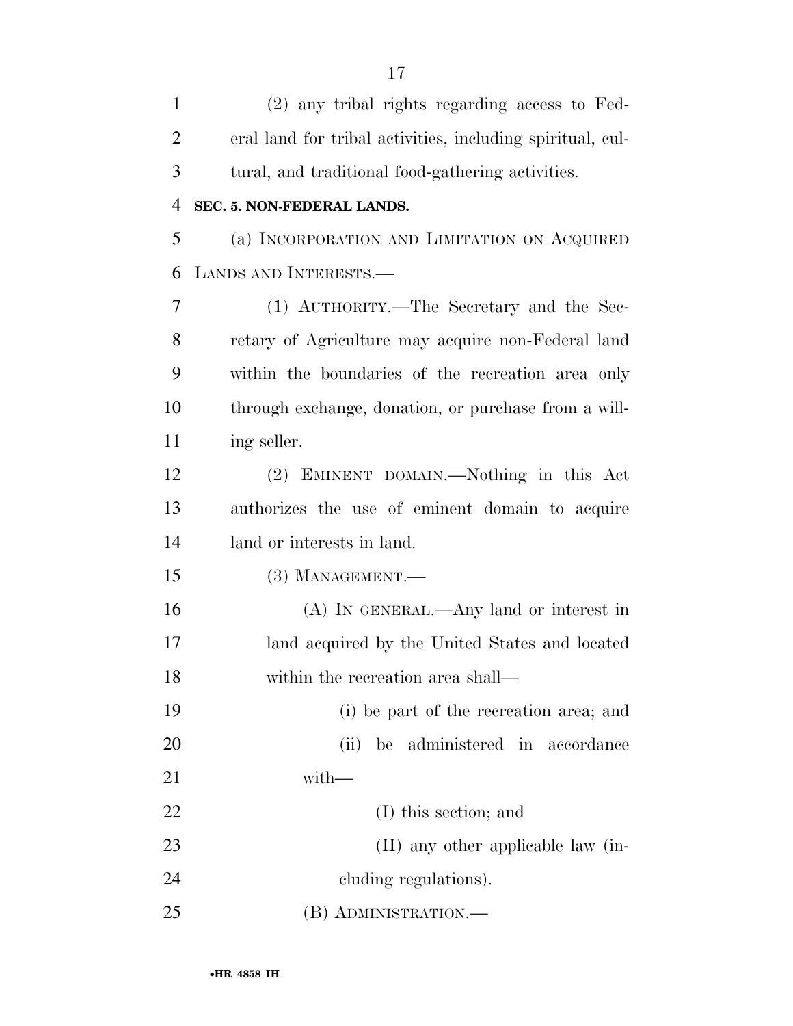| $\mathbf{1}$   | (2) any tribal rights regarding access to Fed-             |
|----------------|------------------------------------------------------------|
| $\overline{2}$ | eral land for tribal activities, including spiritual, cul- |
| 3              | tural, and traditional food-gathering activities.          |
| $\overline{4}$ | SEC. 5. NON-FEDERAL LANDS.                                 |
| 5              | (a) INCORPORATION AND LIMITATION ON ACQUIRED               |
| 6              | LANDS AND INTERESTS.                                       |
| 7              | (1) AUTHORITY.—The Secretary and the Sec-                  |
| 8              | retary of Agriculture may acquire non-Federal land         |
| 9              | within the boundaries of the recreation area only          |
| 10             | through exchange, donation, or purchase from a will-       |
| 11             | ing seller.                                                |
| 12             | (2) EMINENT DOMAIN.—Nothing in this Act                    |
| 13             | authorizes the use of eminent domain to acquire            |
| 14             | land or interests in land.                                 |
| 15             | $(3)$ MANAGEMENT.—                                         |
| 16             | $(A)$ In GENERAL.—Any land or interest in                  |
| 17             | land acquired by the United States and located             |
| 18             | within the recreation area shall—                          |
| 19             | (i) be part of the recreation area; and                    |
| 20             | be administered in accordance<br>(ii)                      |
| 21             | $with-$                                                    |
| 22             | (I) this section; and                                      |
| 23             | (II) any other applicable law (in-                         |
| 24             | cluding regulations).                                      |
| 25             | (B) ADMINISTRATION.—                                       |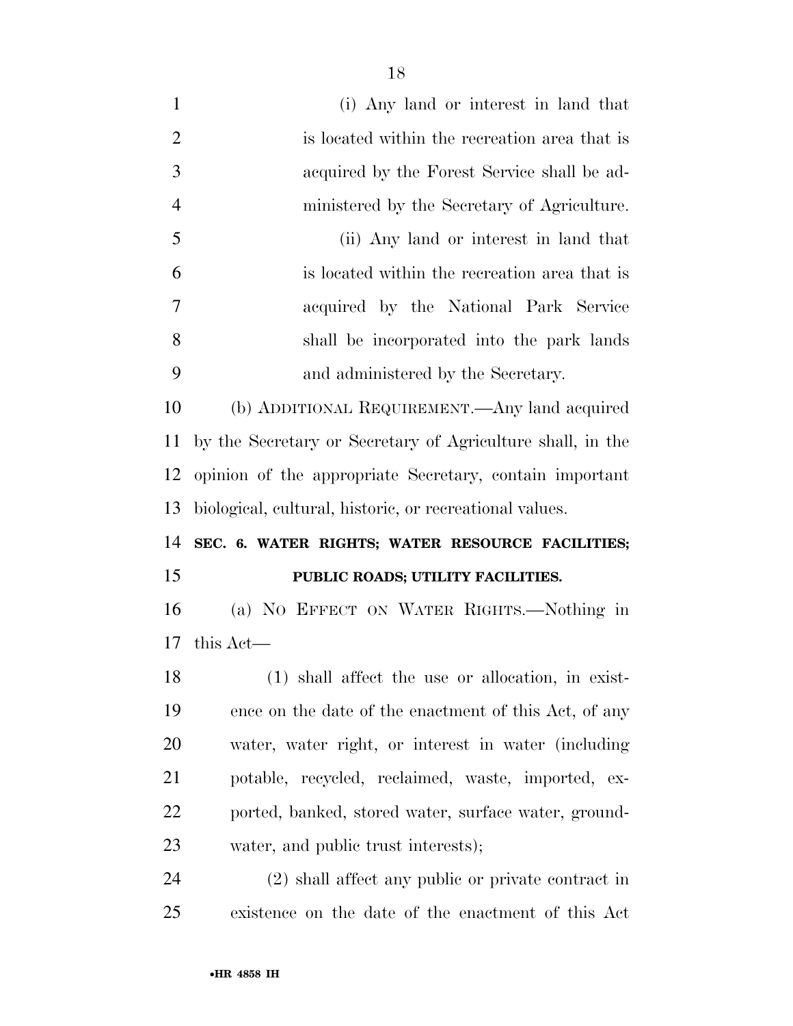| $\mathbf{1}$            | (i) Any land or interest in land that                      |
|-------------------------|------------------------------------------------------------|
| $\overline{2}$          | is located within the recreation area that is              |
| 3                       | acquired by the Forest Service shall be ad-                |
| $\overline{4}$          | ministered by the Secretary of Agriculture.                |
| 5                       | (ii) Any land or interest in land that                     |
| 6                       | is located within the recreation area that is              |
| 7                       | acquired by the National Park Service                      |
| 8                       | shall be incorporated into the park lands                  |
| 9                       | and administered by the Secretary.                         |
| 10                      | (b) ADDITIONAL REQUIREMENT.—Any land acquired              |
| 11                      | by the Secretary or Secretary of Agriculture shall, in the |
| 12                      | opinion of the appropriate Secretary, contain important    |
| 13                      | biological, cultural, historic, or recreational values.    |
| 14                      | SEC. 6. WATER RIGHTS; WATER RESOURCE FACILITIES;           |
| 15                      | PUBLIC ROADS; UTILITY FACILITIES.                          |
| 16                      | (a) NO EFFECT ON WATER RIGHTS.—Nothing in                  |
| 17                      | this Act—                                                  |
| 18                      | (1) shall affect the use or allocation, in exist-          |
| 19                      | ence on the date of the enactment of this Act, of any      |
| 20                      | water, water right, or interest in water (including        |
| 21                      | potable, recycled, reclaimed, waste, imported, ex-         |
| 22                      | ported, banked, stored water, surface water, ground-       |
| 23                      | water, and public trust interests);                        |
| $\mathcal{D}$ $\Lambda$ | $(9)$ shall affect any public or private contract in       |

 (2) shall affect any public or private contract in existence on the date of the enactment of this Act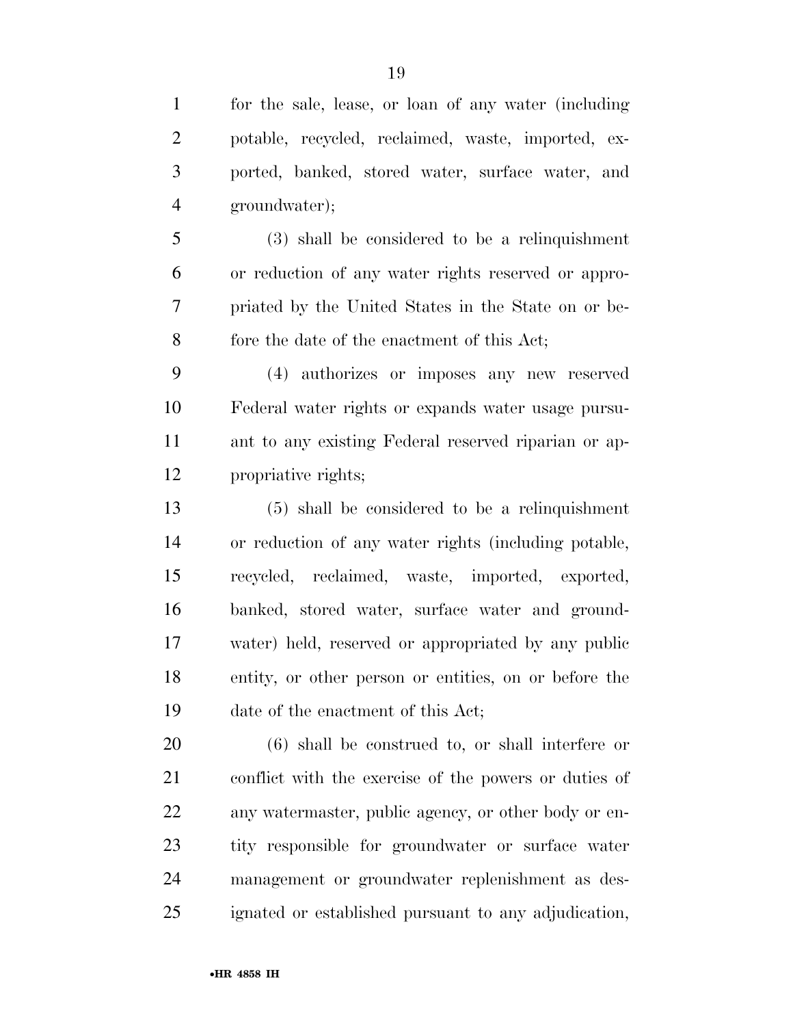ported, banked, stored water, surface water, and groundwater);

 (3) shall be considered to be a relinquishment or reduction of any water rights reserved or appro- priated by the United States in the State on or be-fore the date of the enactment of this Act;

 (4) authorizes or imposes any new reserved Federal water rights or expands water usage pursu- ant to any existing Federal reserved riparian or ap-propriative rights;

 (5) shall be considered to be a relinquishment or reduction of any water rights (including potable, recycled, reclaimed, waste, imported, exported, banked, stored water, surface water and ground- water) held, reserved or appropriated by any public entity, or other person or entities, on or before the date of the enactment of this Act;

 (6) shall be construed to, or shall interfere or conflict with the exercise of the powers or duties of any watermaster, public agency, or other body or en- tity responsible for groundwater or surface water management or groundwater replenishment as des-ignated or established pursuant to any adjudication,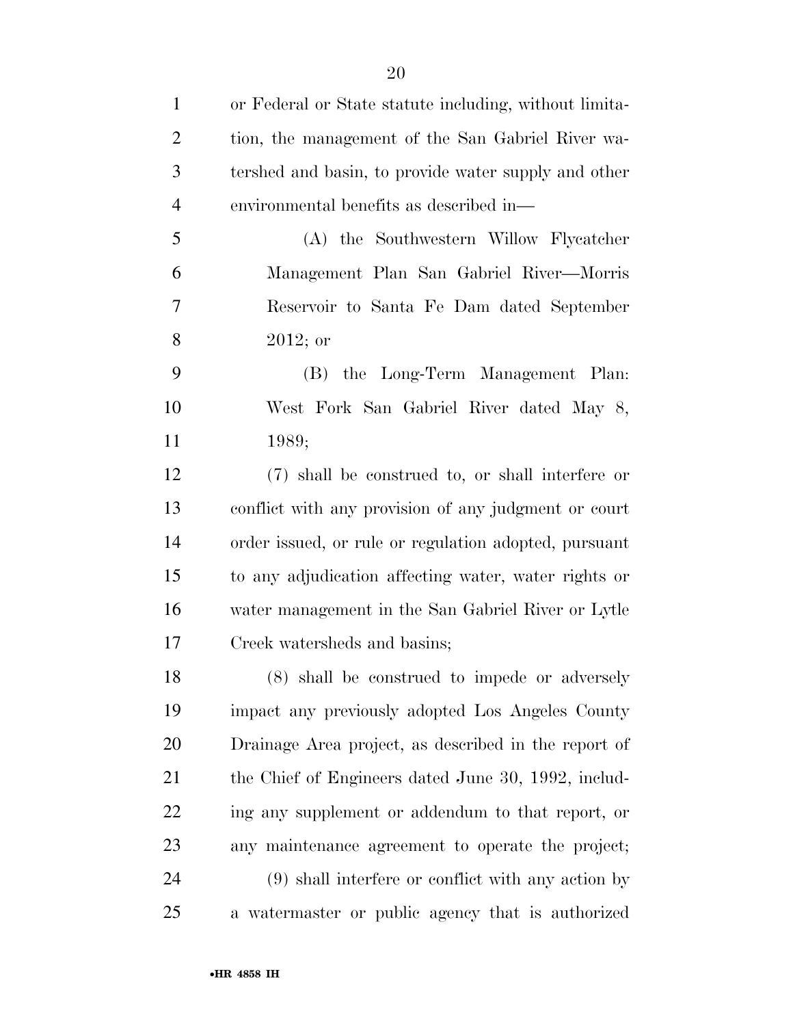| $\mathbf{1}$   | or Federal or State statute including, without limita- |
|----------------|--------------------------------------------------------|
| $\overline{2}$ | tion, the management of the San Gabriel River wa-      |
| 3              | tershed and basin, to provide water supply and other   |
| $\overline{4}$ | environmental benefits as described in—                |
| 5              | (A) the Southwestern Willow Flycatcher                 |
| 6              | Management Plan San Gabriel River—Morris               |
| $\overline{7}$ | Reservoir to Santa Fe Dam dated September              |
| 8              | $2012;$ or                                             |
| 9              | the Long-Term Management Plan:<br>(B)                  |
| 10             | West Fork San Gabriel River dated May 8,               |
| 11             | 1989;                                                  |
| 12             | (7) shall be construed to, or shall interfere or       |
| 13             | conflict with any provision of any judgment or court   |
| 14             | order issued, or rule or regulation adopted, pursuant  |
| 15             | to any adjudication affecting water, water rights or   |
| 16             | water management in the San Gabriel River or Lytle     |
| 17             | Creek watersheds and basins;                           |
| 18             | (8) shall be construed to impede or adversely          |
| 19             | impact any previously adopted Los Angeles County       |
| 20             | Drainage Area project, as described in the report of   |
| 21             | the Chief of Engineers dated June 30, 1992, includ-    |
| 22             | ing any supplement or addendum to that report, or      |
| 23             | any maintenance agreement to operate the project;      |
| 24             | $(9)$ shall interfere or conflict with any action by   |
| 25             | a watermaster or public agency that is authorized      |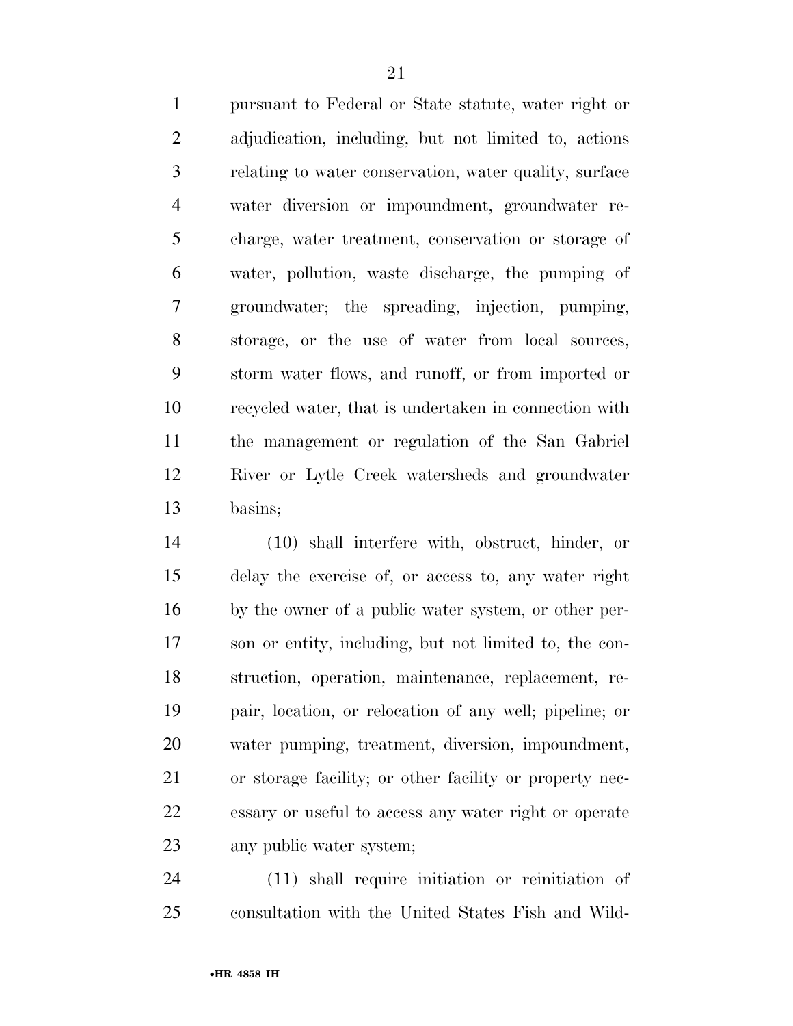pursuant to Federal or State statute, water right or adjudication, including, but not limited to, actions relating to water conservation, water quality, surface water diversion or impoundment, groundwater re- charge, water treatment, conservation or storage of water, pollution, waste discharge, the pumping of groundwater; the spreading, injection, pumping, storage, or the use of water from local sources, storm water flows, and runoff, or from imported or recycled water, that is undertaken in connection with the management or regulation of the San Gabriel River or Lytle Creek watersheds and groundwater basins;

 (10) shall interfere with, obstruct, hinder, or delay the exercise of, or access to, any water right by the owner of a public water system, or other per- son or entity, including, but not limited to, the con- struction, operation, maintenance, replacement, re- pair, location, or relocation of any well; pipeline; or water pumping, treatment, diversion, impoundment, or storage facility; or other facility or property nec- essary or useful to access any water right or operate any public water system;

 (11) shall require initiation or reinitiation of consultation with the United States Fish and Wild-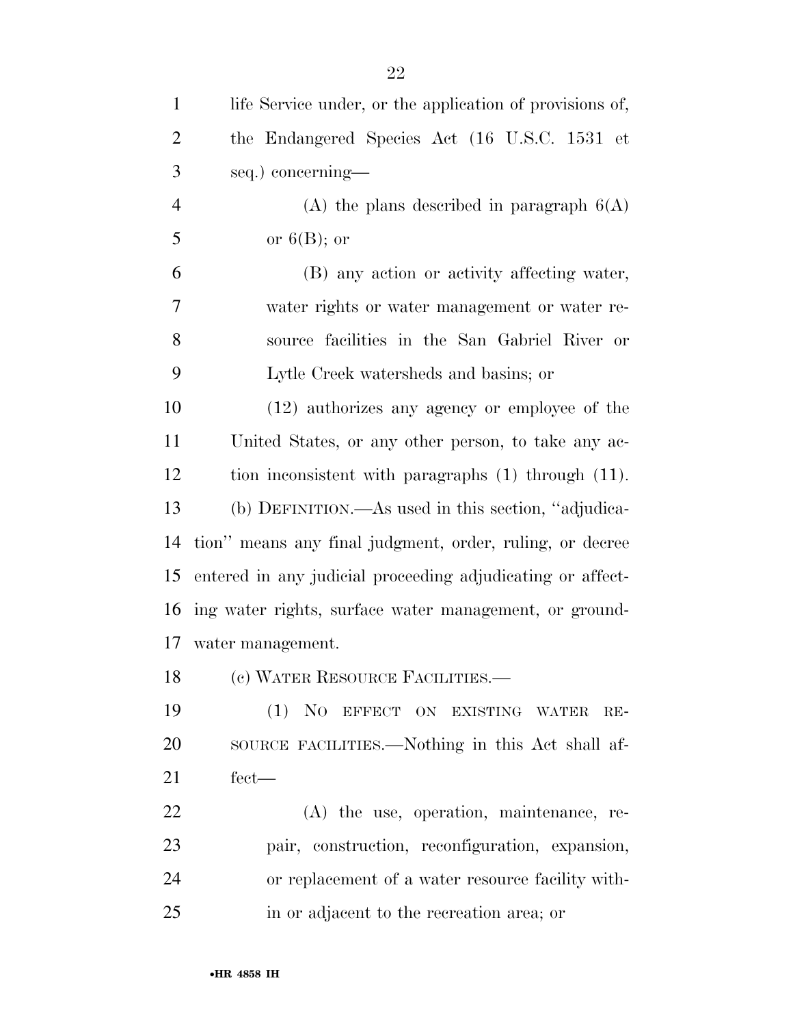| $\mathbf{1}$   | life Service under, or the application of provisions of,   |
|----------------|------------------------------------------------------------|
| $\overline{2}$ | the Endangered Species Act (16 U.S.C. 1531 et              |
| 3              | seq.) concerning-                                          |
| $\overline{4}$ | (A) the plans described in paragraph $6(A)$                |
| 5              | or $6(B)$ ; or                                             |
| 6              | (B) any action or activity affecting water,                |
| 7              | water rights or water management or water re-              |
| 8              | source facilities in the San Gabriel River or              |
| 9              | Lytle Creek watersheds and basins; or                      |
| 10             | (12) authorizes any agency or employee of the              |
| 11             | United States, or any other person, to take any ac-        |
| 12             | tion inconsistent with paragraphs (1) through (11).        |
| 13             | (b) DEFINITION.—As used in this section, "adjudica-        |
| 14             | tion" means any final judgment, order, ruling, or decree   |
| 15             | entered in any judicial proceeding adjudicating or affect- |
| 16             | ing water rights, surface water management, or ground-     |
| 17             | water management.                                          |
| 18             | (c) WATER RESOURCE FACILITIES.-                            |
| 19             | (1) NO EFFECT ON EXISTING WATER<br>$RE-$                   |
| 20             | SOURCE FACILITIES.—Nothing in this Act shall af-           |
| 21             | $fect-$                                                    |
| 22             | $(A)$ the use, operation, maintenance, re-                 |
| 23             | pair, construction, reconfiguration, expansion,            |
| 24             | or replacement of a water resource facility with-          |
| 25             | in or adjacent to the recreation area; or                  |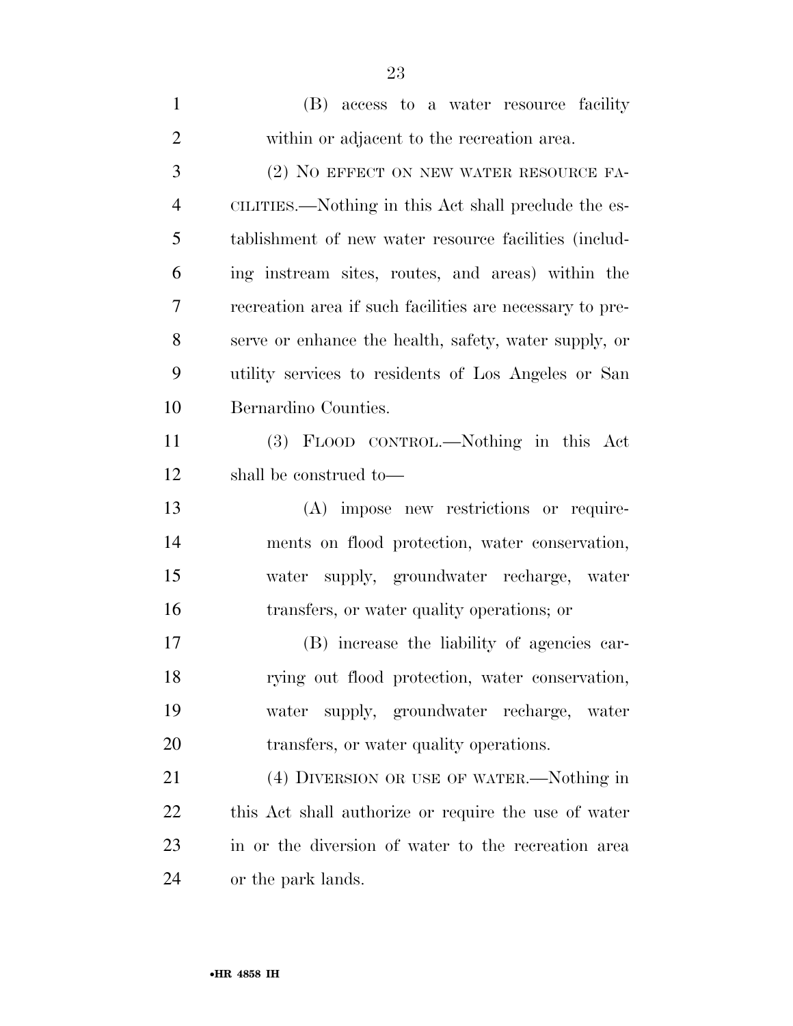| $\mathbf{1}$   | (B) access to a water resource facility                  |
|----------------|----------------------------------------------------------|
| $\overline{2}$ | within or adjacent to the recreation area.               |
| 3              | (2) NO EFFECT ON NEW WATER RESOURCE FA-                  |
| $\overline{4}$ | CILITIES.—Nothing in this Act shall preclude the es-     |
| 5              | tablishment of new water resource facilities (includ-    |
| 6              | ing instream sites, routes, and areas) within the        |
| 7              | recreation area if such facilities are necessary to pre- |
| 8              | serve or enhance the health, safety, water supply, or    |
| 9              | utility services to residents of Los Angeles or San      |
| 10             | Bernardino Counties.                                     |
| 11             | (3) FLOOD CONTROL.—Nothing in this Act                   |
| 12             | shall be construed to—                                   |
| 13             | (A) impose new restrictions or require-                  |
| 14             | ments on flood protection, water conservation,           |
| 15             | water supply, groundwater recharge, water                |
| 16             | transfers, or water quality operations; or               |
| 17             | (B) increase the liability of agencies car-              |
| 18             | rying out flood protection, water conservation,          |
| 19             | supply, groundwater recharge, water<br>water             |
| 20             | transfers, or water quality operations.                  |
| 21             | (4) DIVERSION OR USE OF WATER.—Nothing in                |
| 22             | this Act shall authorize or require the use of water     |
| 23             | in or the diversion of water to the recreation area      |
| 24             | or the park lands.                                       |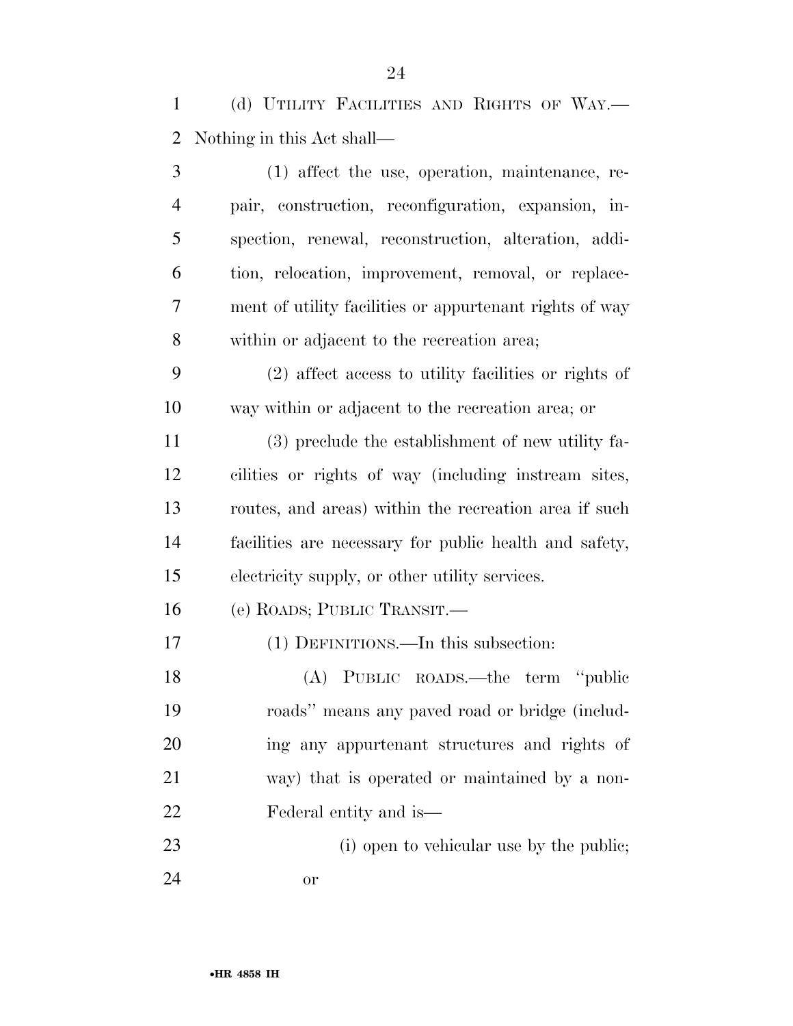(d) UTILITY FACILITIES AND RIGHTS OF WAY.— Nothing in this Act shall—

 (1) affect the use, operation, maintenance, re- pair, construction, reconfiguration, expansion, in- spection, renewal, reconstruction, alteration, addi- tion, relocation, improvement, removal, or replace- ment of utility facilities or appurtenant rights of way within or adjacent to the recreation area; (2) affect access to utility facilities or rights of way within or adjacent to the recreation area; or (3) preclude the establishment of new utility fa- cilities or rights of way (including instream sites, routes, and areas) within the recreation area if such facilities are necessary for public health and safety, electricity supply, or other utility services. (e) ROADS; PUBLIC TRANSIT.— (1) DEFINITIONS.—In this subsection: (A) PUBLIC ROADS.—the term ''public roads'' means any paved road or bridge (includ- ing any appurtenant structures and rights of way) that is operated or maintained by a non-

- Federal entity and is—
- 23 (i) open to vehicular use by the public; or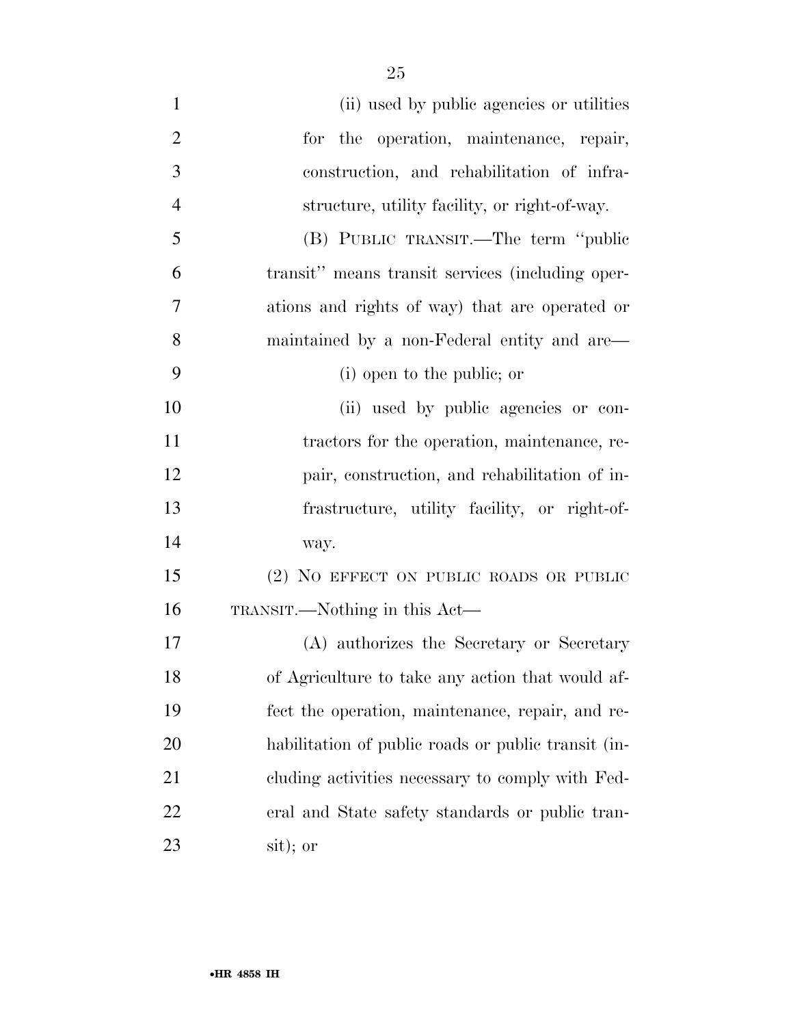| $\mathbf{1}$   | (ii) used by public agencies or utilities           |
|----------------|-----------------------------------------------------|
| $\overline{2}$ | for the operation, maintenance, repair,             |
| 3              | construction, and rehabilitation of infra-          |
| $\overline{4}$ | structure, utility facility, or right-of-way.       |
| 5              | (B) PUBLIC TRANSIT.—The term "public                |
| 6              | transit" means transit services (including oper-    |
| 7              | ations and rights of way) that are operated or      |
| 8              | maintained by a non-Federal entity and are—         |
| 9              | (i) open to the public; or                          |
| 10             | (ii) used by public agencies or con-                |
| 11             | tractors for the operation, maintenance, re-        |
| 12             | pair, construction, and rehabilitation of in-       |
| 13             | frastructure, utility facility, or right-of-        |
| 14             | way.                                                |
| 15             | (2) NO EFFECT ON PUBLIC ROADS OR PUBLIC             |
| 16             | TRANSIT.—Nothing in this Act—                       |
| 17             | (A) authorizes the Secretary or Secretary           |
| 18             | of Agriculture to take any action that would af-    |
| 19             | fect the operation, maintenance, repair, and re-    |
| 20             | habilitation of public roads or public transit (in- |
| 21             | cluding activities necessary to comply with Fed-    |
| 22             | eral and State safety standards or public tran-     |
| 23             | sit); or                                            |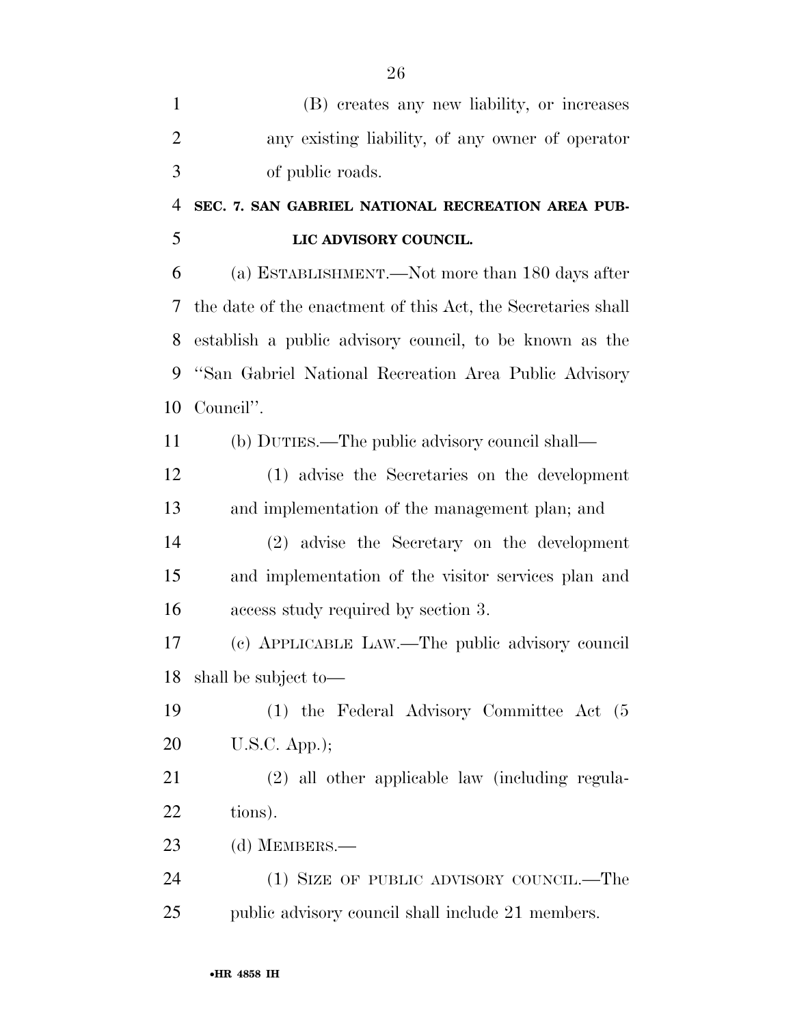| (B) creates any new liability, or increases                  |
|--------------------------------------------------------------|
| any existing liability, of any owner of operator             |
| of public roads.                                             |
| SEC. 7. SAN GABRIEL NATIONAL RECREATION AREA PUB-            |
| LIC ADVISORY COUNCIL.                                        |
| (a) ESTABLISHMENT.—Not more than 180 days after              |
| the date of the enactment of this Act, the Secretaries shall |
| establish a public advisory council, to be known as the      |
| "San Gabriel National Recreation Area Public Advisory        |
| Council".                                                    |
| (b) DUTIES.—The public advisory council shall—               |
| (1) advise the Secretaries on the development                |
| and implementation of the management plan; and               |
| (2) advise the Secretary on the development                  |
| and implementation of the visitor services plan and          |
| access study required by section 3.                          |
| (c) APPLICABLE LAW.—The public advisory council              |
| shall be subject to—                                         |
| (1) the Federal Advisory Committee Act (5)                   |
| $U.S.C.$ App.);                                              |
| (2) all other applicable law (including regula-              |
| tions).                                                      |
| (d) MEMBERS.—                                                |
| (1) SIZE OF PUBLIC ADVISORY COUNCIL.—The                     |
| public advisory council shall include 21 members.            |
|                                                              |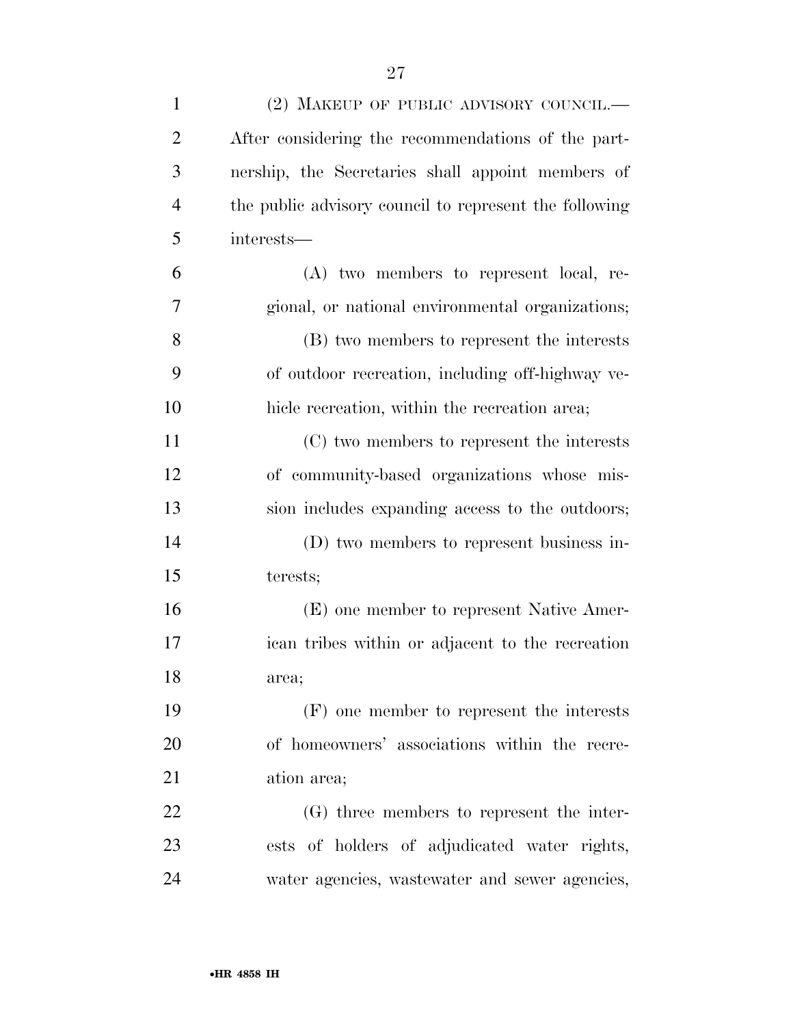| $\mathbf{1}$   | (2) MAKEUP OF PUBLIC ADVISORY COUNCIL.—                |
|----------------|--------------------------------------------------------|
| $\overline{2}$ | After considering the recommendations of the part-     |
| 3              | nership, the Secretaries shall appoint members of      |
| $\overline{4}$ | the public advisory council to represent the following |
| 5              | interests-                                             |
| 6              | (A) two members to represent local, re-                |
| 7              | gional, or national environmental organizations;       |
| 8              | (B) two members to represent the interests             |
| 9              | of outdoor recreation, including off-highway ve-       |
| 10             | hicle recreation, within the recreation area;          |
| 11             | (C) two members to represent the interests             |
| 12             | of community-based organizations whose mis-            |
| 13             | sion includes expanding access to the outdoors;        |
| 14             | (D) two members to represent business in-              |
| 15             | terests;                                               |
| 16             | (E) one member to represent Native Amer-               |
| 17             | ican tribes within or adjacent to the recreation       |
| 18             | area;                                                  |
| 19             | (F) one member to represent the interests              |
| 20             | of homeowners' associations within the recre-          |
| 21             | ation area;                                            |
| 22             | (G) three members to represent the inter-              |
| 23             | ests of holders of adjudicated water rights,           |
| 24             | water agencies, wastewater and sewer agencies,         |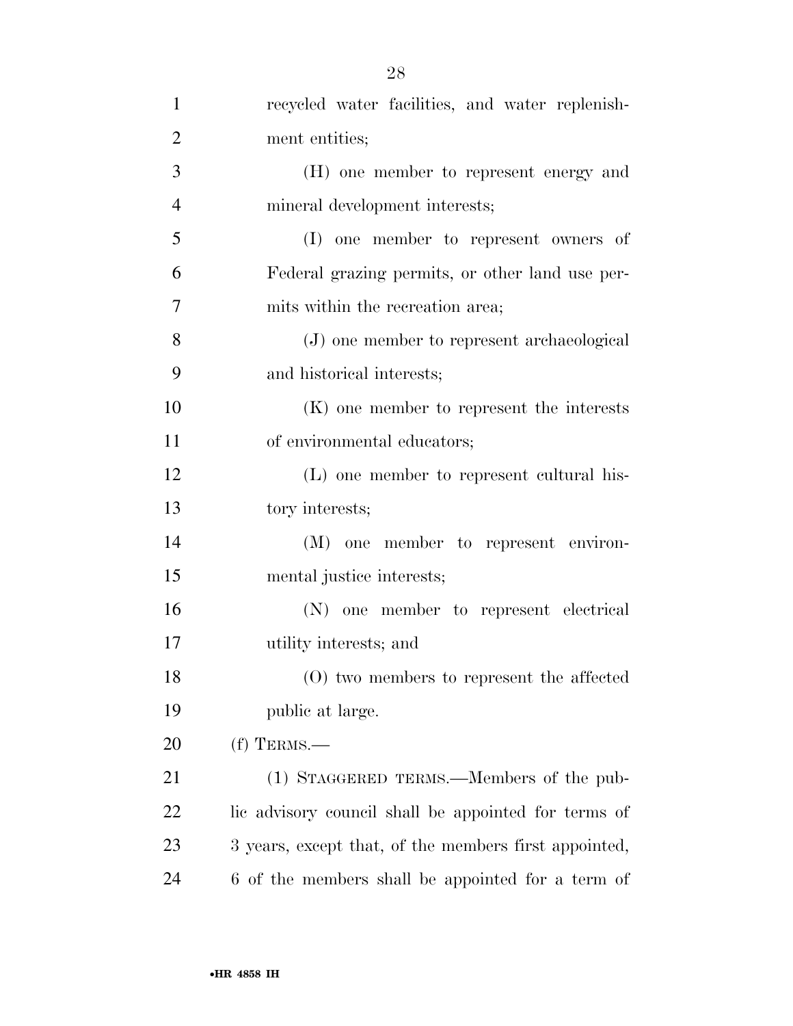| $\mathbf{1}$   | recycled water facilities, and water replenish-       |
|----------------|-------------------------------------------------------|
| $\overline{2}$ | ment entities;                                        |
| 3              | (H) one member to represent energy and                |
| $\overline{4}$ | mineral development interests;                        |
| 5              | (I) one member to represent owners of                 |
| 6              | Federal grazing permits, or other land use per-       |
| $\overline{7}$ | mits within the recreation area;                      |
| 8              | (J) one member to represent archaeological            |
| 9              | and historical interests;                             |
| 10             | (K) one member to represent the interests             |
| 11             | of environmental educators;                           |
| 12             | (L) one member to represent cultural his-             |
| 13             | tory interests;                                       |
| 14             | (M) one member to represent environ-                  |
| 15             | mental justice interests;                             |
| 16             | (N) one member to represent electrical                |
| 17             | utility interests; and                                |
| 18             | (O) two members to represent the affected             |
| 19             | public at large.                                      |
| 20             | $(f)$ TERMS.—                                         |
| 21             | (1) STAGGERED TERMS.—Members of the pub-              |
| 22             | lic advisory council shall be appointed for terms of  |
| 23             | 3 years, except that, of the members first appointed, |
| 24             | 6 of the members shall be appointed for a term of     |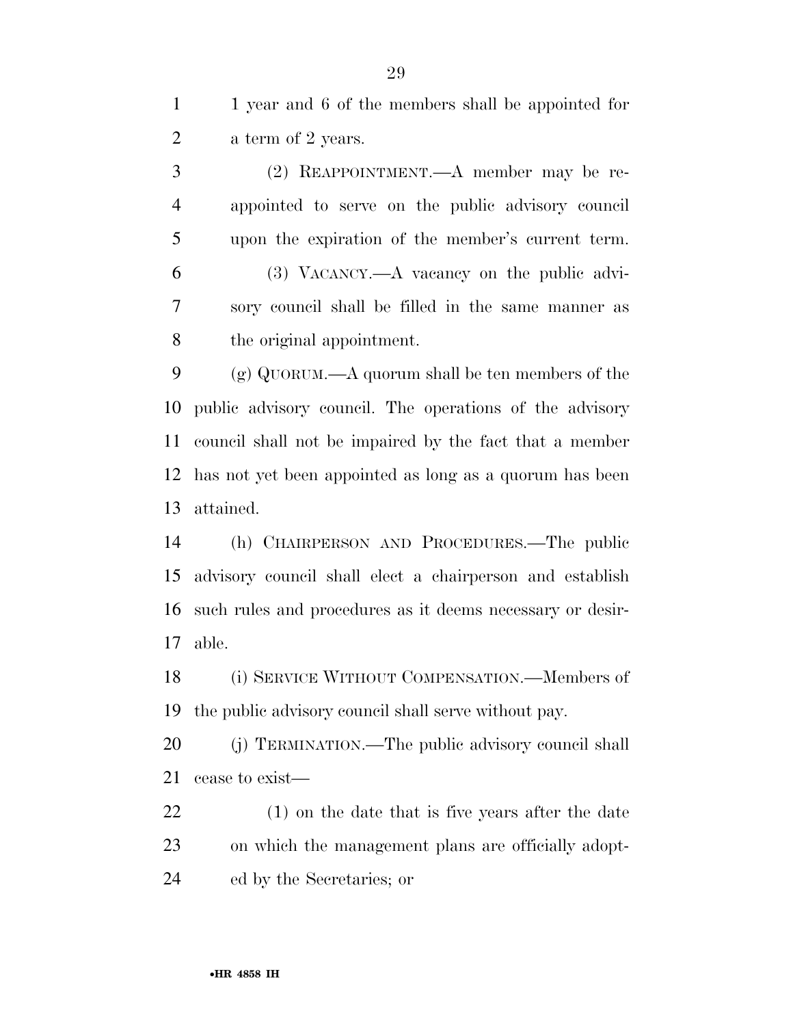1 1 year and 6 of the members shall be appointed for a term of 2 years.

 (2) REAPPOINTMENT.—A member may be re- appointed to serve on the public advisory council upon the expiration of the member's current term. (3) VACANCY.—A vacancy on the public advi- sory council shall be filled in the same manner as the original appointment.

 (g) QUORUM.—A quorum shall be ten members of the public advisory council. The operations of the advisory council shall not be impaired by the fact that a member has not yet been appointed as long as a quorum has been attained.

 (h) CHAIRPERSON AND PROCEDURES.—The public advisory council shall elect a chairperson and establish such rules and procedures as it deems necessary or desir-able.

 (i) SERVICE WITHOUT COMPENSATION.—Members of the public advisory council shall serve without pay.

 (j) TERMINATION.—The public advisory council shall cease to exist—

 (1) on the date that is five years after the date on which the management plans are officially adopt-ed by the Secretaries; or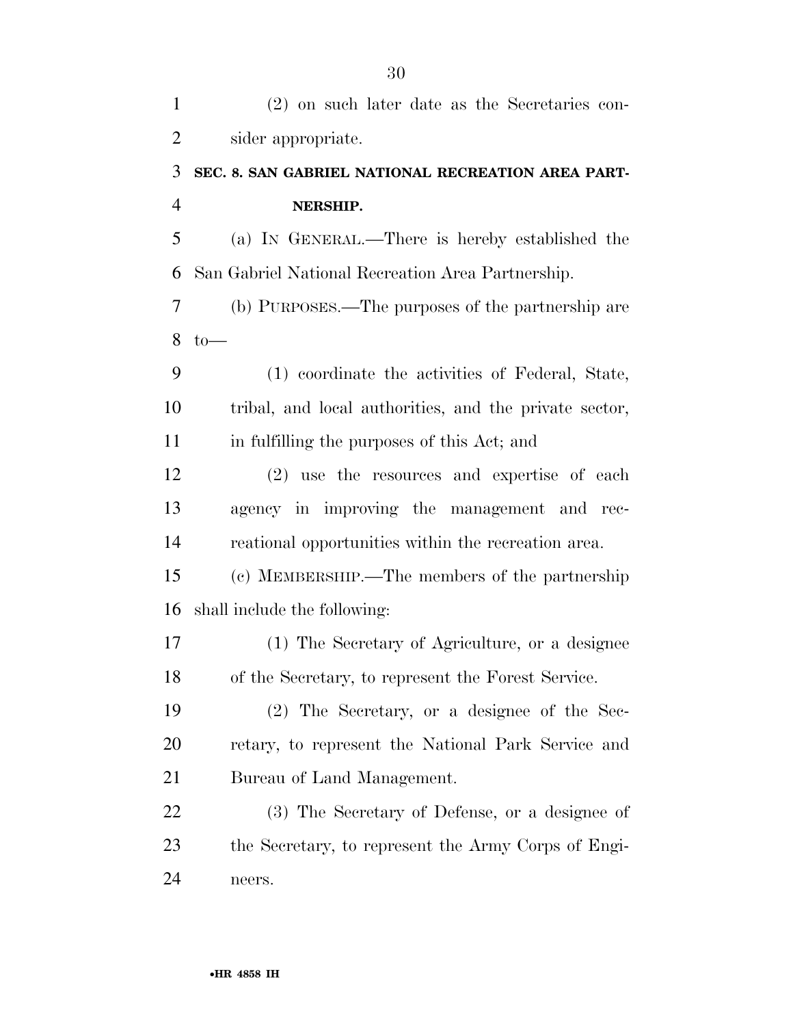| $\mathbf{1}$   | $(2)$ on such later date as the Secretaries con-       |
|----------------|--------------------------------------------------------|
| $\overline{2}$ | sider appropriate.                                     |
| 3              | SEC. 8. SAN GABRIEL NATIONAL RECREATION AREA PART-     |
| $\overline{4}$ | NERSHIP.                                               |
| 5              | (a) IN GENERAL.—There is hereby established the        |
| 6              | San Gabriel National Recreation Area Partnership.      |
| 7              | (b) PURPOSES.—The purposes of the partnership are      |
| 8              | $to-$                                                  |
| 9              | (1) coordinate the activities of Federal, State,       |
| 10             | tribal, and local authorities, and the private sector, |
| 11             | in fulfilling the purposes of this Act; and            |
| 12             | (2) use the resources and expertise of each            |
| 13             | agency in improving the management and rec-            |
| 14             | reational opportunities within the recreation area.    |
| 15             | (c) MEMBERSHIP.—The members of the partnership         |
| 16             | shall include the following:                           |
| 17             | (1) The Secretary of Agriculture, or a designee        |
| 18             | of the Secretary, to represent the Forest Service.     |
| 19             | $(2)$ The Secretary, or a designee of the Sec-         |
| 20             | retary, to represent the National Park Service and     |
| 21             | Bureau of Land Management.                             |
| 22             | (3) The Secretary of Defense, or a designee of         |
| 23             | the Secretary, to represent the Army Corps of Engi-    |
| 24             | neers.                                                 |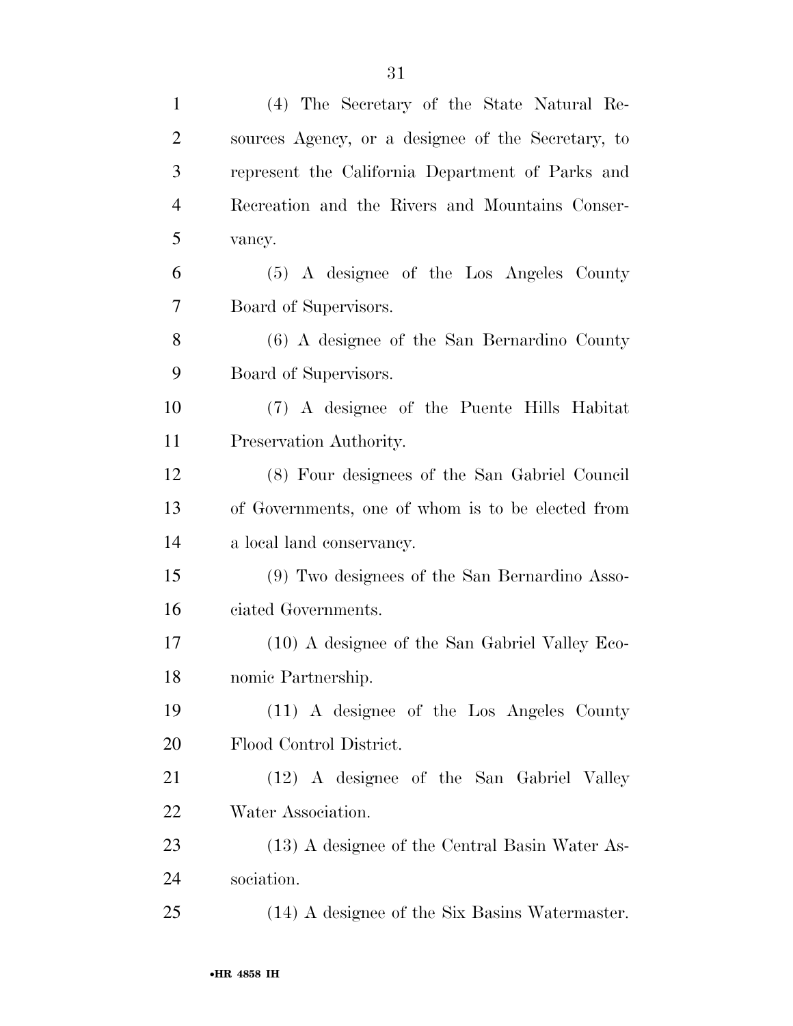| $\mathbf{1}$   | (4) The Secretary of the State Natural Re-         |
|----------------|----------------------------------------------------|
| $\overline{2}$ | sources Agency, or a designee of the Secretary, to |
| 3              | represent the California Department of Parks and   |
| $\overline{4}$ | Recreation and the Rivers and Mountains Conser-    |
| 5              | vancy.                                             |
| 6              | (5) A designee of the Los Angeles County           |
| 7              | Board of Supervisors.                              |
| 8              | (6) A designee of the San Bernardino County        |
| 9              | Board of Supervisors.                              |
| 10             | (7) A designee of the Puente Hills Habitat         |
| 11             | Preservation Authority.                            |
| 12             | (8) Four designees of the San Gabriel Council      |
| 13             | of Governments, one of whom is to be elected from  |
| 14             | a local land conservancy.                          |
| 15             | (9) Two designees of the San Bernardino Asso-      |
| 16             | ciated Governments.                                |
| 17             | (10) A designee of the San Gabriel Valley Eco-     |
| 18             | nomic Partnership.                                 |
| 19             | (11) A designee of the Los Angeles County          |
| 20             | Flood Control District.                            |
| 21             | (12) A designee of the San Gabriel Valley          |
| 22             | Water Association.                                 |
| 23             | (13) A designee of the Central Basin Water As-     |
| 24             | sociation.                                         |
| 25             | (14) A designee of the Six Basins Watermaster.     |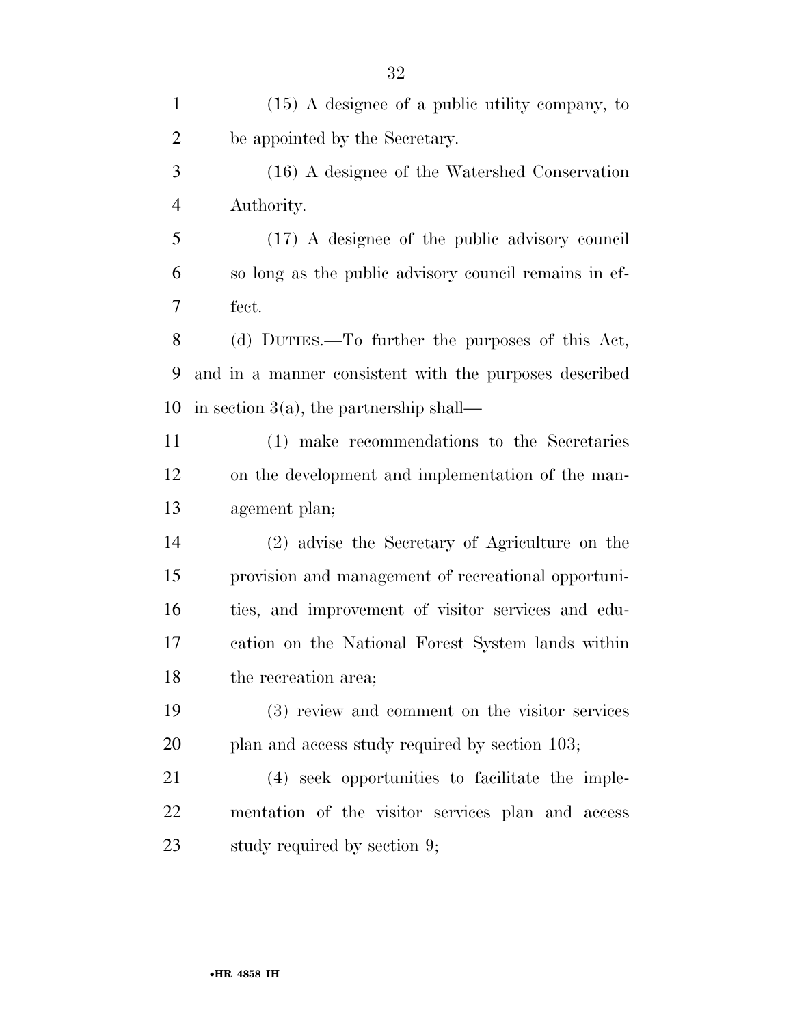(15) A designee of a public utility company, to be appointed by the Secretary. (16) A designee of the Watershed Conservation Authority. (17) A designee of the public advisory council so long as the public advisory council remains in ef- fect. (d) DUTIES.—To further the purposes of this Act, and in a manner consistent with the purposes described 10 in section  $3(a)$ , the partnership shall— (1) make recommendations to the Secretaries on the development and implementation of the man- agement plan; (2) advise the Secretary of Agriculture on the provision and management of recreational opportuni- ties, and improvement of visitor services and edu- cation on the National Forest System lands within the recreation area; (3) review and comment on the visitor services 20 plan and access study required by section 103; (4) seek opportunities to facilitate the imple- mentation of the visitor services plan and access study required by section 9;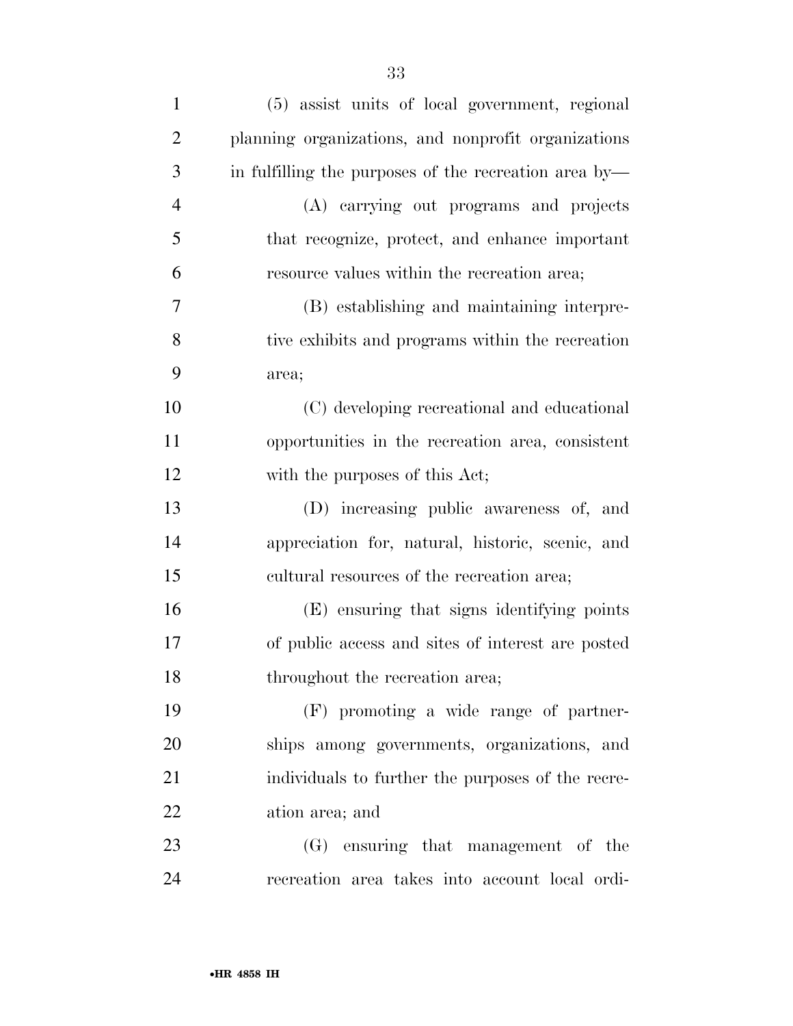| $\mathbf{1}$   | (5) assist units of local government, regional        |
|----------------|-------------------------------------------------------|
| $\overline{2}$ | planning organizations, and nonprofit organizations   |
| 3              | in fulfilling the purposes of the recreation area by— |
| $\overline{4}$ | (A) carrying out programs and projects                |
| 5              | that recognize, protect, and enhance important        |
| 6              | resource values within the recreation area;           |
| 7              | (B) establishing and maintaining interpre-            |
| 8              | tive exhibits and programs within the recreation      |
| 9              | area;                                                 |
| 10             | (C) developing recreational and educational           |
| 11             | opportunities in the recreation area, consistent      |
| 12             | with the purposes of this Act;                        |
| 13             | (D) increasing public awareness of, and               |
| 14             | appreciation for, natural, historic, scenic, and      |
| 15             | cultural resources of the recreation area;            |
| 16             | (E) ensuring that signs identifying points            |
| 17             | of public access and sites of interest are posted     |
| 18             | throughout the recreation area;                       |
| 19             | (F) promoting a wide range of partner-                |
| 20             | ships among governments, organizations, and           |
| 21             | individuals to further the purposes of the recre-     |
| 22             | ation area; and                                       |
| 23             | (G) ensuring that management of the                   |
| 24             | recreation area takes into account local ordi-        |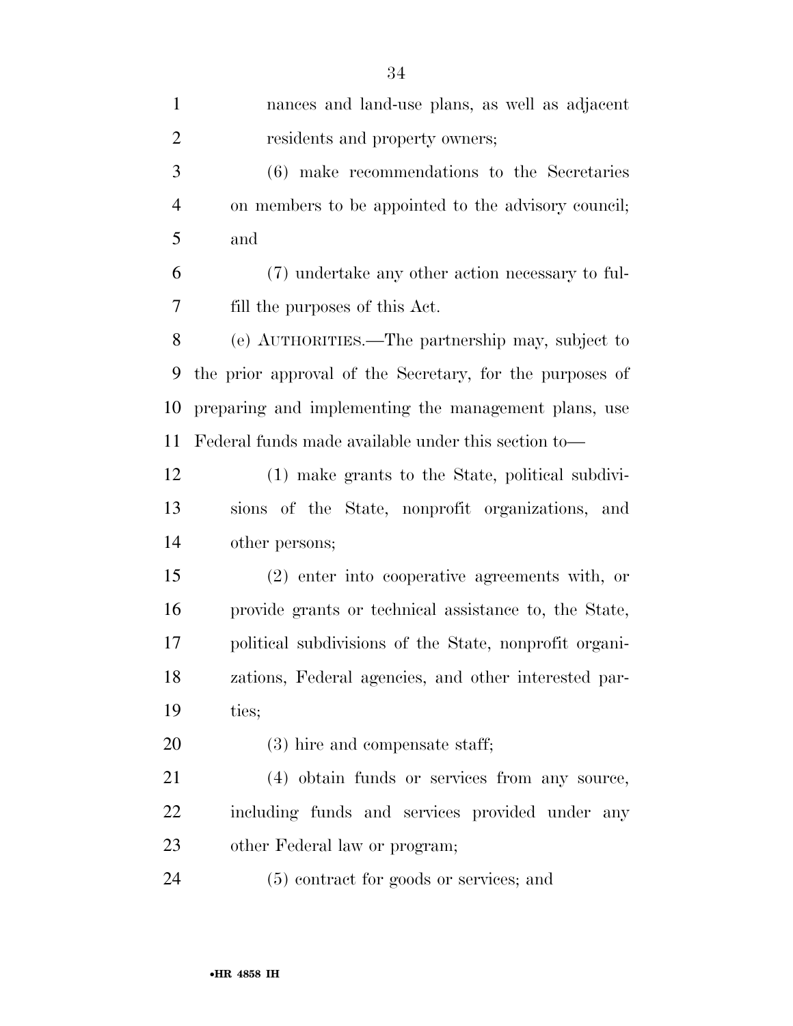| $\mathbf{1}$   | nances and land-use plans, as well as adjacent           |
|----------------|----------------------------------------------------------|
| $\overline{2}$ | residents and property owners;                           |
| 3              | (6) make recommendations to the Secretaries              |
| 4              | on members to be appointed to the advisory council;      |
| 5              | and                                                      |
| 6              | (7) undertake any other action necessary to ful-         |
| 7              | fill the purposes of this Act.                           |
| 8              | (e) AUTHORITIES.—The partnership may, subject to         |
| 9              | the prior approval of the Secretary, for the purposes of |
| 10             | preparing and implementing the management plans, use     |
| 11             | Federal funds made available under this section to—      |
| 12             | (1) make grants to the State, political subdivi-         |
| 13             | sions of the State, nonprofit organizations, and         |
| 14             | other persons;                                           |
| 15             | (2) enter into cooperative agreements with, or           |
| 16             | provide grants or technical assistance to, the State,    |
| 17             | political subdivisions of the State, nonprofit organi-   |
| 18             | zations, Federal agencies, and other interested par-     |
| 19             | ties;                                                    |
| 20             | $(3)$ hire and compensate staff;                         |
| 21             | (4) obtain funds or services from any source,            |
| 22             | including funds and services provided under any          |
| 23             | other Federal law or program;                            |
| 24             | (5) contract for goods or services; and                  |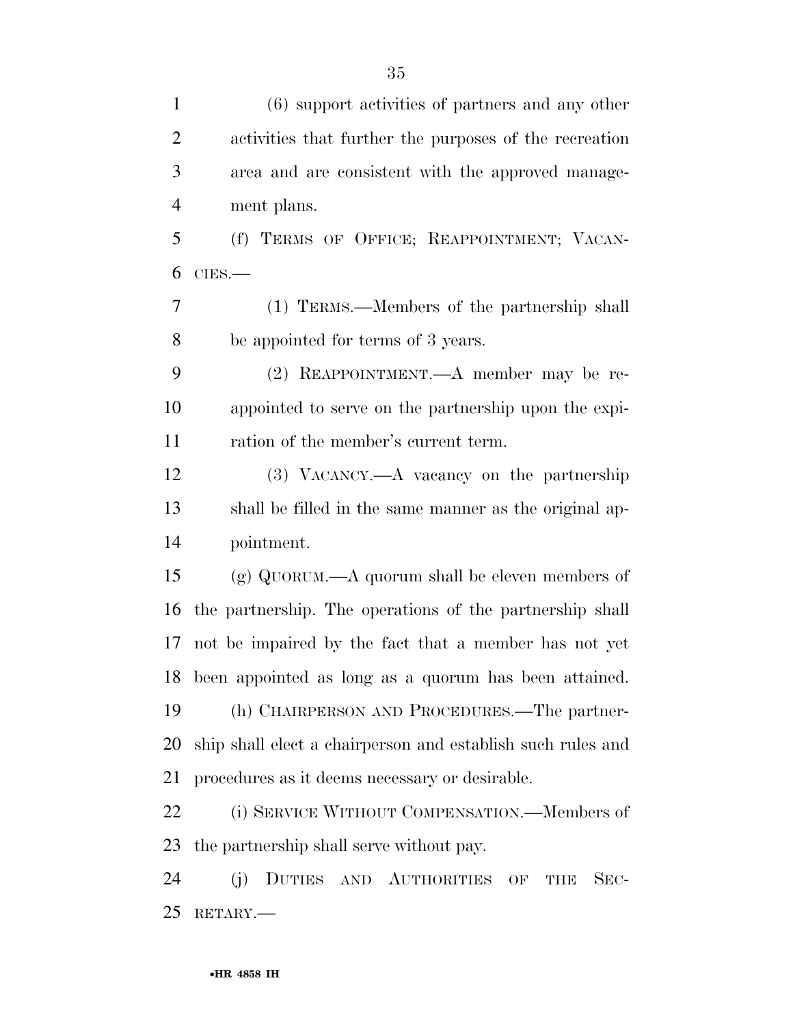| $\mathbf{1}$   | $(6)$ support activities of partners and any other          |
|----------------|-------------------------------------------------------------|
| $\overline{2}$ | activities that further the purposes of the recreation      |
| 3              | area and are consistent with the approved manage-           |
| $\overline{4}$ | ment plans.                                                 |
| 5              | (f) TERMS OF OFFICE; REAPPOINTMENT; VACAN-                  |
| 6              | $CIES$ .                                                    |
| 7              | (1) TERMS.—Members of the partnership shall                 |
| 8              | be appointed for terms of 3 years.                          |
| 9              | (2) REAPPOINTMENT.—A member may be re-                      |
| 10             | appointed to serve on the partnership upon the expi-        |
| 11             | ration of the member's current term.                        |
| 12             | (3) VACANCY.—A vacancy on the partnership                   |
| 13             | shall be filled in the same manner as the original ap-      |
| 14             | pointment.                                                  |
| 15             | (g) QUORUM.—A quorum shall be eleven members of             |
| 16             | the partnership. The operations of the partnership shall    |
| 17             | not be impaired by the fact that a member has not yet       |
| 18             | been appointed as long as a quorum has been attained.       |
| 19             | (h) CHAIRPERSON AND PROCEDURES.—The partner-                |
| 20             | ship shall elect a chairperson and establish such rules and |
| 21             | procedures as it deems necessary or desirable.              |
| 22             | (i) SERVICE WITHOUT COMPENSATION.—Members of                |
| 23             | the partnership shall serve without pay.                    |
| 24             | DUTIES AND AUTHORITIES OF<br>$SEC-$<br>(i)<br><b>THE</b>    |
| 25             | RETARY.                                                     |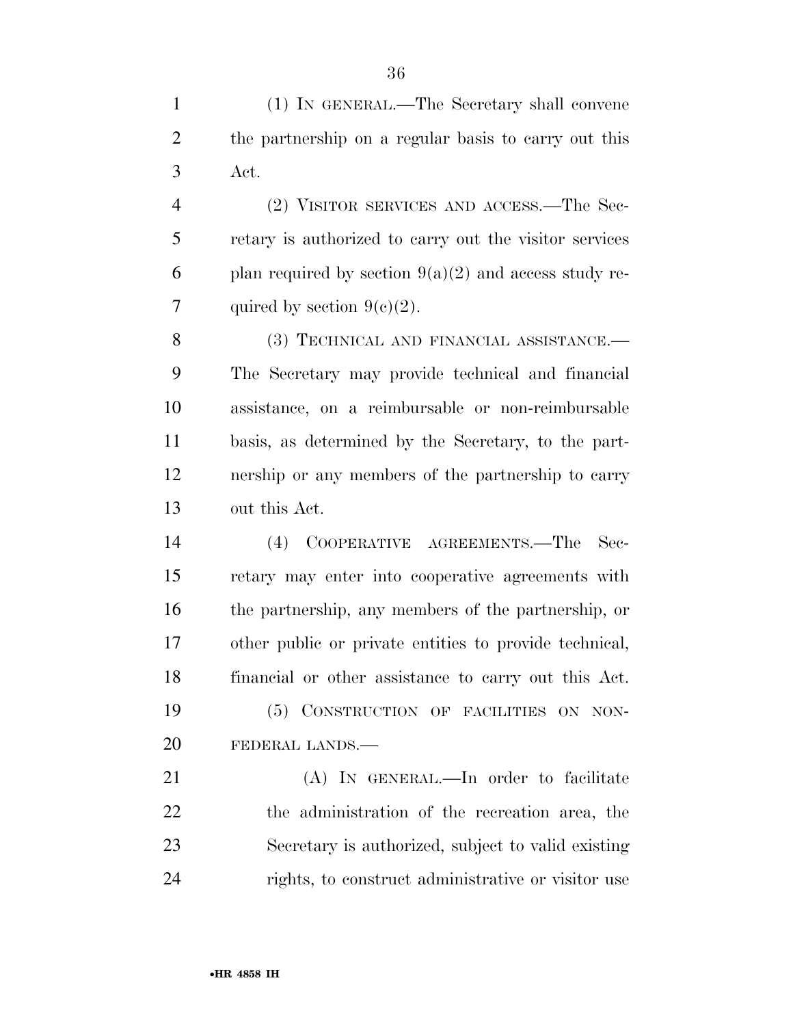(1) IN GENERAL.—The Secretary shall convene the partnership on a regular basis to carry out this Act.

 (2) VISITOR SERVICES AND ACCESS.—The Sec- retary is authorized to carry out the visitor services 6 plan required by section  $9(a)(2)$  and access study re-7 quired by section  $9(e)(2)$ .

8 (3) TECHNICAL AND FINANCIAL ASSISTANCE.— The Secretary may provide technical and financial assistance, on a reimbursable or non-reimbursable basis, as determined by the Secretary, to the part- nership or any members of the partnership to carry out this Act.

 (4) COOPERATIVE AGREEMENTS.—The Sec- retary may enter into cooperative agreements with the partnership, any members of the partnership, or other public or private entities to provide technical, financial or other assistance to carry out this Act. (5) CONSTRUCTION OF FACILITIES ON NON-FEDERAL LANDS.—

 (A) IN GENERAL.—In order to facilitate the administration of the recreation area, the Secretary is authorized, subject to valid existing rights, to construct administrative or visitor use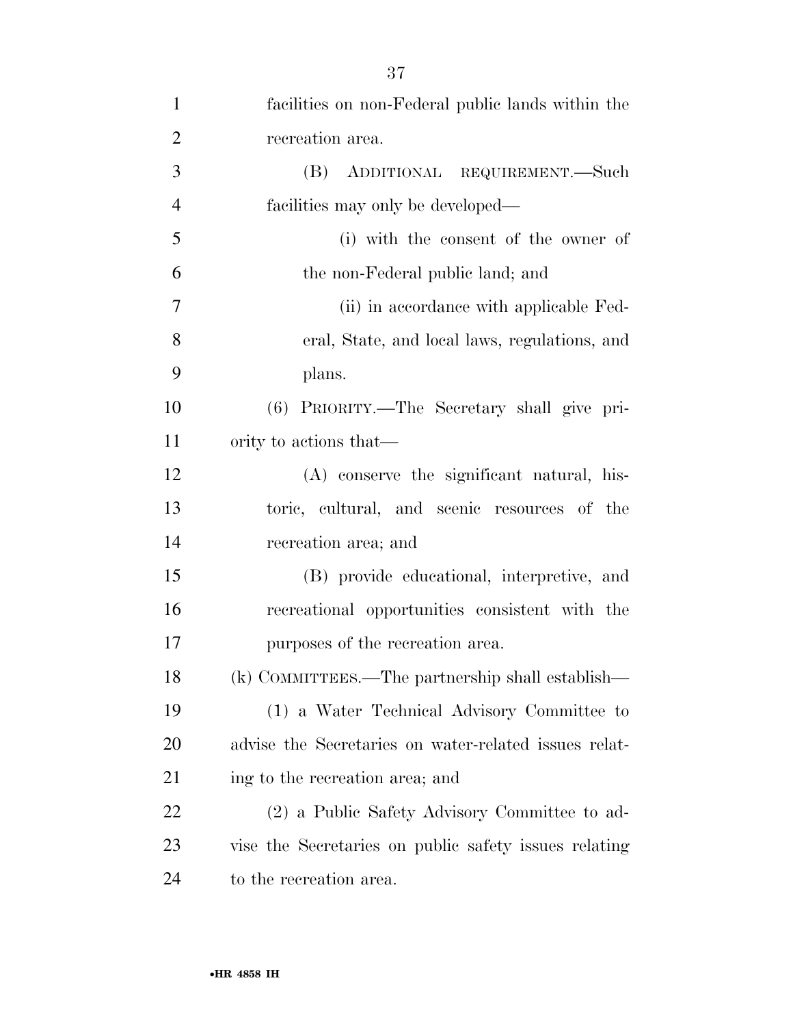| $\mathbf{1}$   | facilities on non-Federal public lands within the     |
|----------------|-------------------------------------------------------|
| $\overline{2}$ | recreation area.                                      |
| 3              | (B) ADDITIONAL REQUIREMENT.—Such                      |
| $\overline{4}$ | facilities may only be developed—                     |
| 5              | (i) with the consent of the owner of                  |
| 6              | the non-Federal public land; and                      |
| $\overline{7}$ | (ii) in accordance with applicable Fed-               |
| 8              | eral, State, and local laws, regulations, and         |
| 9              | plans.                                                |
| 10             | (6) PRIORITY.—The Secretary shall give pri-           |
| 11             | ority to actions that—                                |
| 12             | (A) conserve the significant natural, his-            |
| 13             | toric, cultural, and scenic resources of the          |
| 14             | recreation area; and                                  |
| 15             | (B) provide educational, interpretive, and            |
| 16             | recreational opportunities consistent with the        |
| 17             | purposes of the recreation area.                      |
| 18             | (k) COMMITTEES.—The partnership shall establish—      |
| 19             | (1) a Water Technical Advisory Committee to           |
| 20             | advise the Secretaries on water-related issues relat- |
| 21             | ing to the recreation area; and                       |
| 22             | (2) a Public Safety Advisory Committee to ad-         |
| 23             | vise the Secretaries on public safety issues relating |
| 24             | to the recreation area.                               |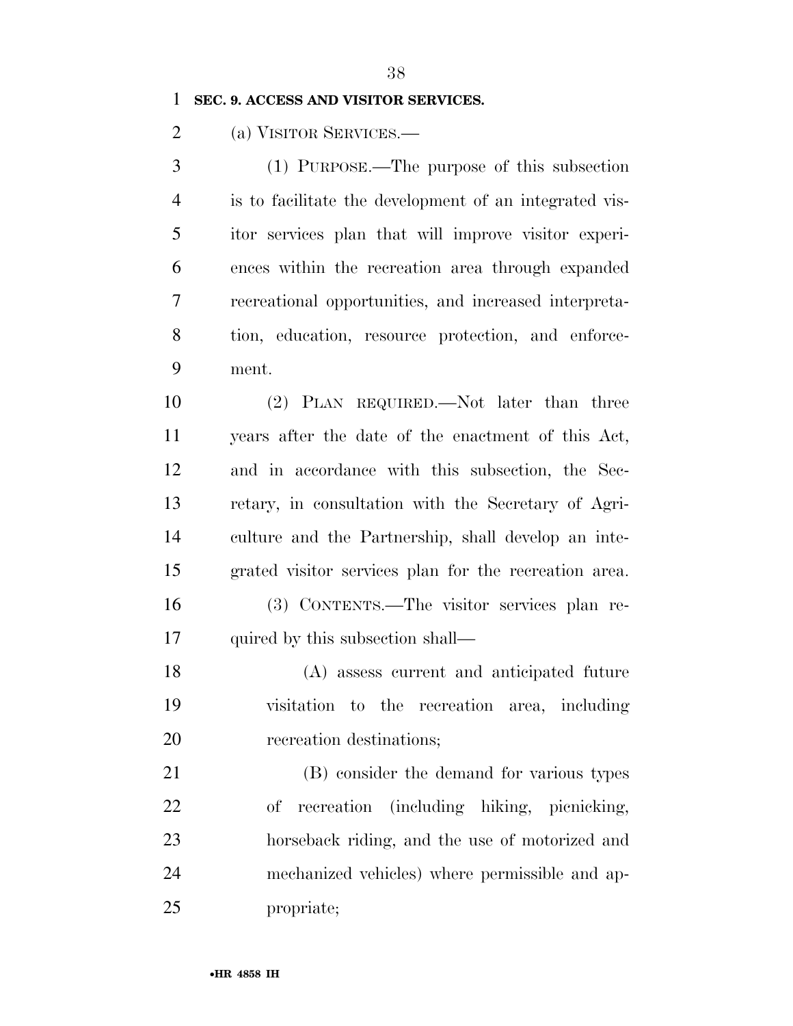#### **SEC. 9. ACCESS AND VISITOR SERVICES.**

(a) VISITOR SERVICES.—

 (1) PURPOSE.—The purpose of this subsection is to facilitate the development of an integrated vis- itor services plan that will improve visitor experi- ences within the recreation area through expanded recreational opportunities, and increased interpreta- tion, education, resource protection, and enforce-ment.

 (2) PLAN REQUIRED.—Not later than three years after the date of the enactment of this Act, and in accordance with this subsection, the Sec- retary, in consultation with the Secretary of Agri- culture and the Partnership, shall develop an inte-grated visitor services plan for the recreation area.

 (3) CONTENTS.—The visitor services plan re-17 quired by this subsection shall—

 (A) assess current and anticipated future visitation to the recreation area, including recreation destinations;

 (B) consider the demand for various types of recreation (including hiking, picnicking, horseback riding, and the use of motorized and mechanized vehicles) where permissible and ap-propriate;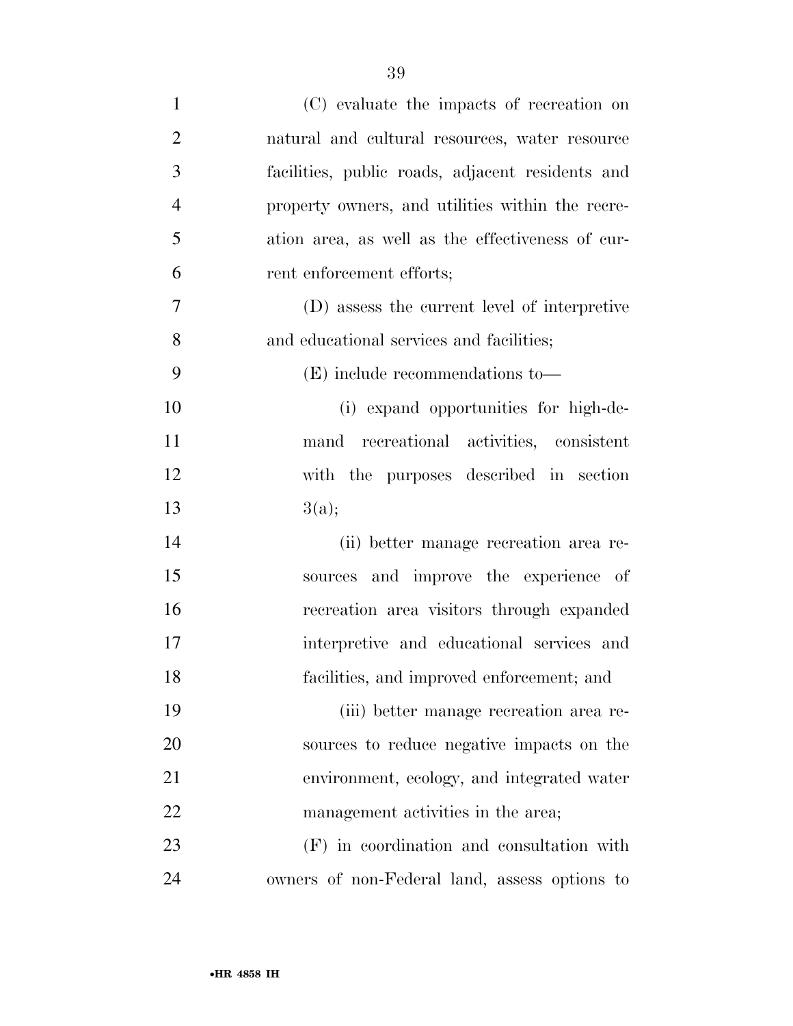| $\mathbf{1}$   | (C) evaluate the impacts of recreation on        |
|----------------|--------------------------------------------------|
| $\overline{2}$ | natural and cultural resources, water resource   |
| 3              | facilities, public roads, adjacent residents and |
| $\overline{4}$ | property owners, and utilities within the recre- |
| 5              | ation area, as well as the effectiveness of cur- |
| 6              | rent enforcement efforts;                        |
| 7              | (D) assess the current level of interpretive     |
| 8              | and educational services and facilities;         |
| 9              | $(E)$ include recommendations to —               |
| 10             | (i) expand opportunities for high-de-            |
| 11             | mand recreational activities, consistent         |
| 12             | with the purposes described in section           |
| 13             | 3(a);                                            |
| 14             | (ii) better manage recreation area re-           |
| 15             | sources and improve the experience of            |
| 16             | recreation area visitors through expanded        |
| 17             | interpretive and educational services and        |
| 18             | facilities, and improved enforcement; and        |
| 19             | (iii) better manage recreation area re-          |
| 20             | sources to reduce negative impacts on the        |
| 21             | environment, ecology, and integrated water       |
| 22             | management activities in the area;               |
| 23             | (F) in coordination and consultation with        |
| 24             | owners of non-Federal land, assess options to    |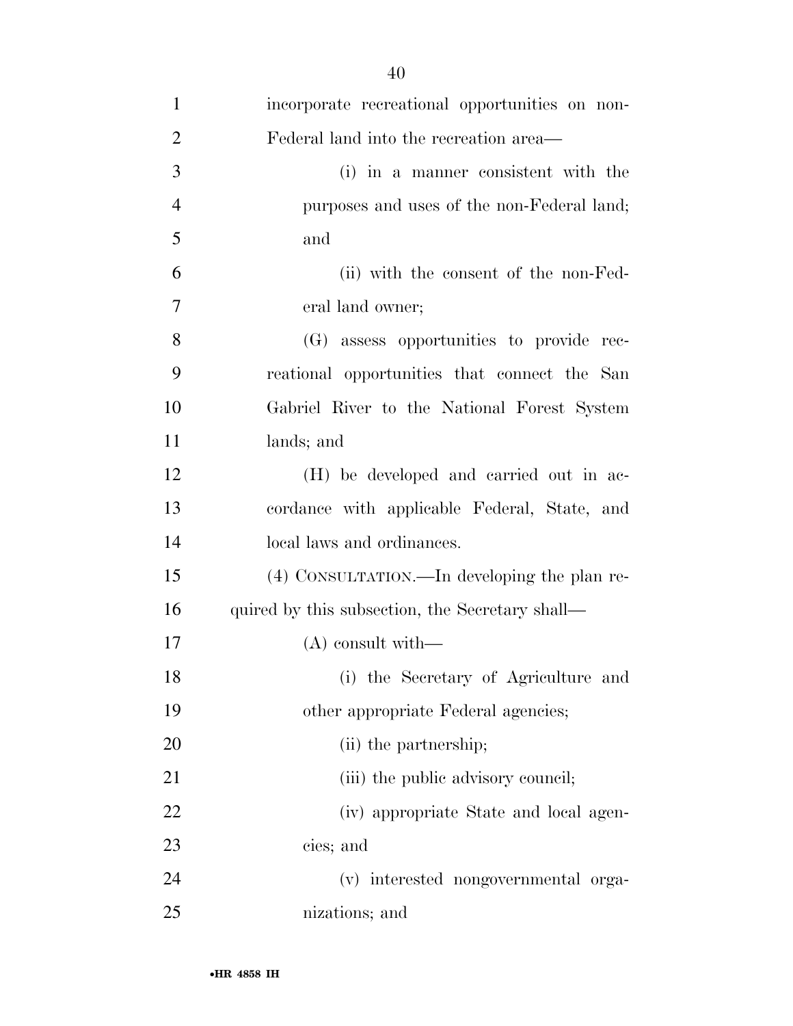| $\mathbf{1}$   | incorporate recreational opportunities on non-  |
|----------------|-------------------------------------------------|
| $\overline{2}$ | Federal land into the recreation area—          |
| 3              | (i) in a manner consistent with the             |
| $\overline{4}$ | purposes and uses of the non-Federal land;      |
| 5              | and                                             |
| 6              | (ii) with the consent of the non-Fed-           |
| $\overline{7}$ | eral land owner;                                |
| 8              | (G) assess opportunities to provide rec-        |
| 9              | reational opportunities that connect the San    |
| 10             | Gabriel River to the National Forest System     |
| 11             | lands; and                                      |
| 12             | (H) be developed and carried out in ac-         |
| 13             | cordance with applicable Federal, State, and    |
| 14             | local laws and ordinances.                      |
| 15             | (4) CONSULTATION.—In developing the plan re-    |
| 16             | quired by this subsection, the Secretary shall— |
| 17             | $(A)$ consult with —                            |
| 18             | (i) the Secretary of Agriculture and            |
| 19             | other appropriate Federal agencies;             |
| 20             | (ii) the partnership;                           |
| 21             | (iii) the public advisory council;              |
| 22             | (iv) appropriate State and local agen-          |
| 23             | cies; and                                       |
| 24             | (v) interested nongovernmental orga-            |
| 25             | nizations; and                                  |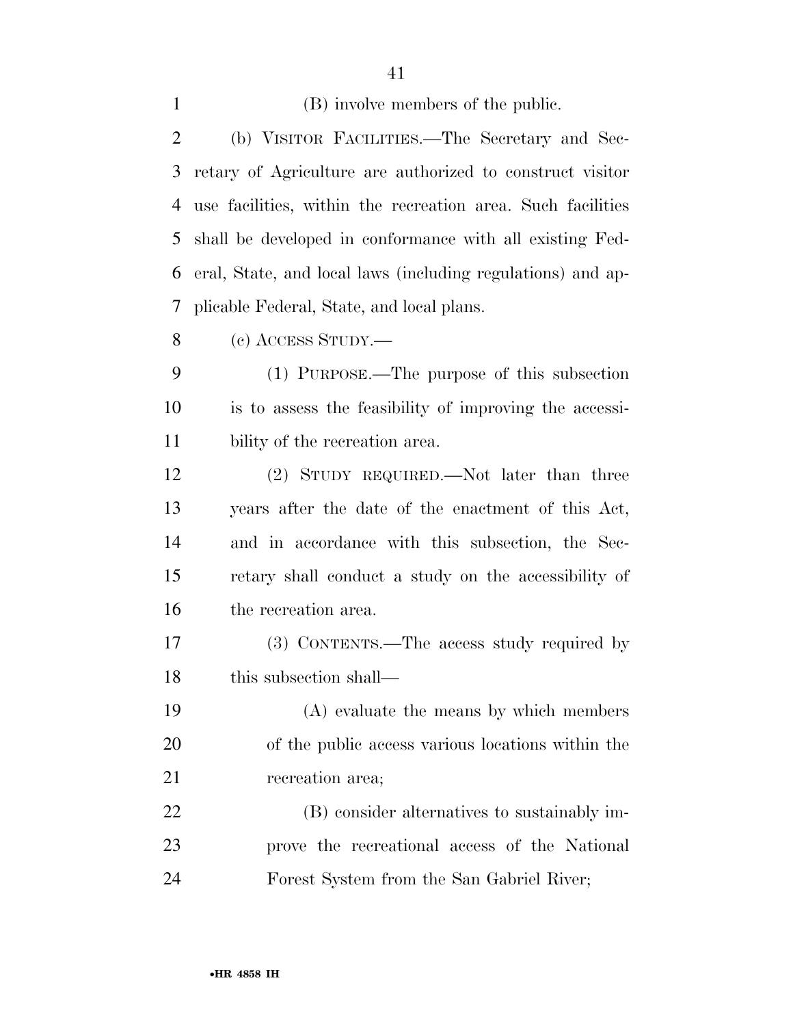(B) involve members of the public. (b) VISITOR FACILITIES.—The Secretary and Sec- retary of Agriculture are authorized to construct visitor use facilities, within the recreation area. Such facilities shall be developed in conformance with all existing Fed- eral, State, and local laws (including regulations) and ap-plicable Federal, State, and local plans.

(c) ACCESS STUDY.—

 (1) PURPOSE.—The purpose of this subsection is to assess the feasibility of improving the accessi-bility of the recreation area.

 (2) STUDY REQUIRED.—Not later than three years after the date of the enactment of this Act, and in accordance with this subsection, the Sec- retary shall conduct a study on the accessibility of the recreation area.

 (3) CONTENTS.—The access study required by this subsection shall—

 (A) evaluate the means by which members of the public access various locations within the recreation area;

 (B) consider alternatives to sustainably im- prove the recreational access of the National Forest System from the San Gabriel River;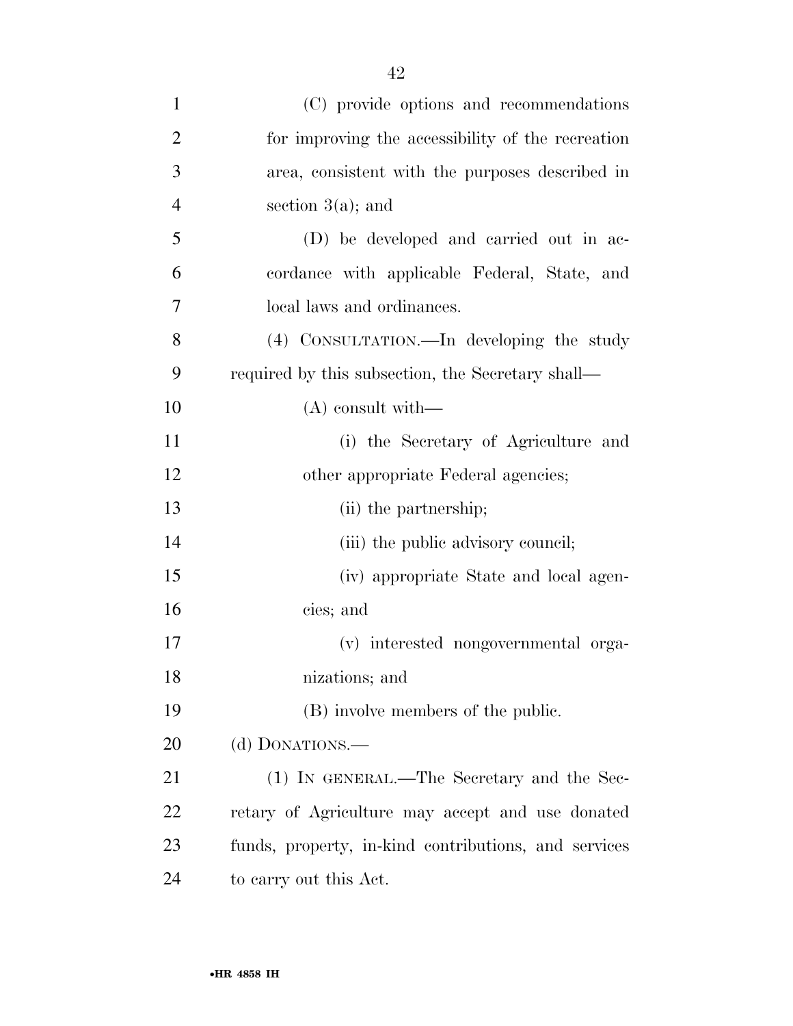| $\mathbf{1}$   | (C) provide options and recommendations              |
|----------------|------------------------------------------------------|
| $\overline{2}$ | for improving the accessibility of the recreation    |
| 3              | area, consistent with the purposes described in      |
| 4              | section $3(a)$ ; and                                 |
| 5              | (D) be developed and carried out in ac-              |
| 6              | cordance with applicable Federal, State, and         |
| $\tau$         | local laws and ordinances.                           |
| 8              | (4) CONSULTATION.—In developing the study            |
| 9              | required by this subsection, the Secretary shall—    |
| 10             | $(A)$ consult with —                                 |
| 11             | (i) the Secretary of Agriculture and                 |
| 12             | other appropriate Federal agencies;                  |
| 13             | (ii) the partnership;                                |
| 14             | (iii) the public advisory council;                   |
| 15             | (iv) appropriate State and local agen-               |
| 16             | cies; and                                            |
| 17             | (v) interested nongovernmental orga-                 |
| 18             | nizations; and                                       |
| 19             | (B) involve members of the public.                   |
| 20             | (d) DONATIONS.—                                      |
| 21             | (1) IN GENERAL.—The Secretary and the Sec-           |
| 22             | retary of Agriculture may accept and use donated     |
| 23             | funds, property, in-kind contributions, and services |
| 24             | to carry out this Act.                               |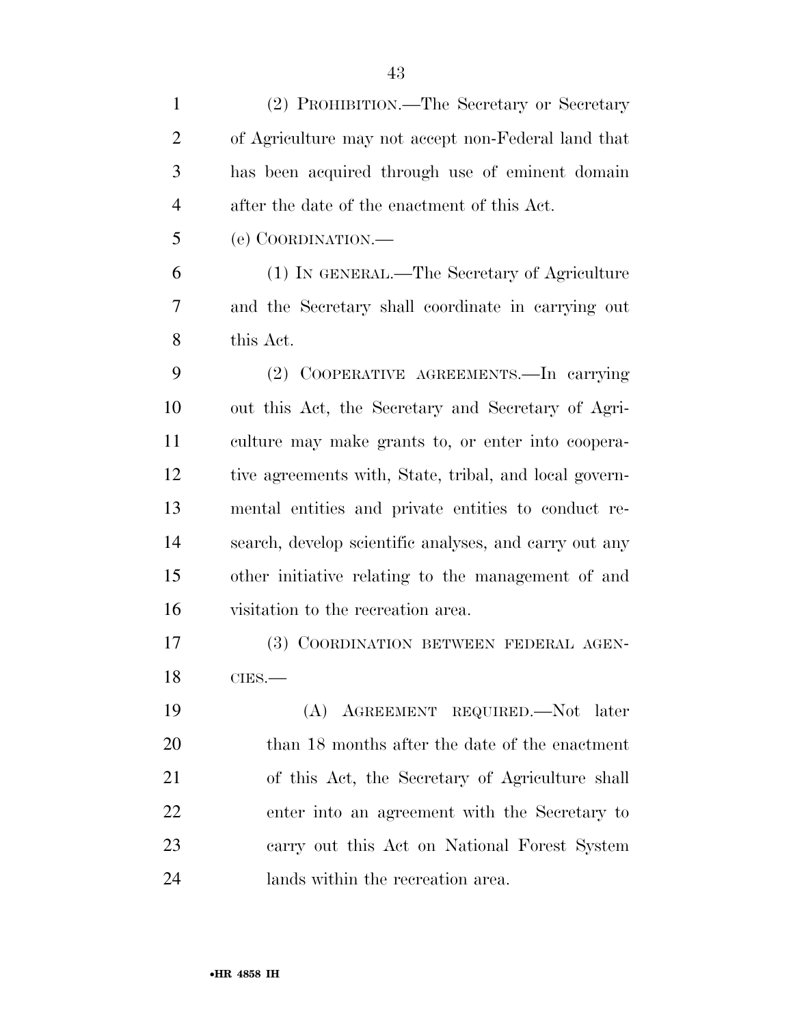| $\mathbf{1}$   | (2) PROHIBITION.—The Secretary or Secretary            |
|----------------|--------------------------------------------------------|
| $\overline{2}$ | of Agriculture may not accept non-Federal land that    |
| 3              | has been acquired through use of eminent domain        |
| $\overline{4}$ | after the date of the enactment of this Act.           |
| 5              | (e) COORDINATION.—                                     |
| 6              | (1) IN GENERAL.—The Secretary of Agriculture           |
| 7              | and the Secretary shall coordinate in carrying out     |
| 8              | this Act.                                              |
| 9              | (2) COOPERATIVE AGREEMENTS.—In carrying                |
| 10             | out this Act, the Secretary and Secretary of Agri-     |
| 11             | culture may make grants to, or enter into coopera-     |
| 12             | tive agreements with, State, tribal, and local govern- |
| 13             | mental entities and private entities to conduct re-    |
| 14             | search, develop scientific analyses, and carry out any |
| 15             | other initiative relating to the management of and     |
| 16             | visitation to the recreation area.                     |
| 17             | (3) COORDINATION BETWEEN FEDERAL AGEN-                 |
| 18             | $CIES$ .                                               |
| 19             | (A) AGREEMENT REQUIRED. Not later                      |
| 20             | than 18 months after the date of the enactment         |
| 21             | of this Act, the Secretary of Agriculture shall        |
| 22             | enter into an agreement with the Secretary to          |
| 23             | carry out this Act on National Forest System           |
| 24             | lands within the recreation area.                      |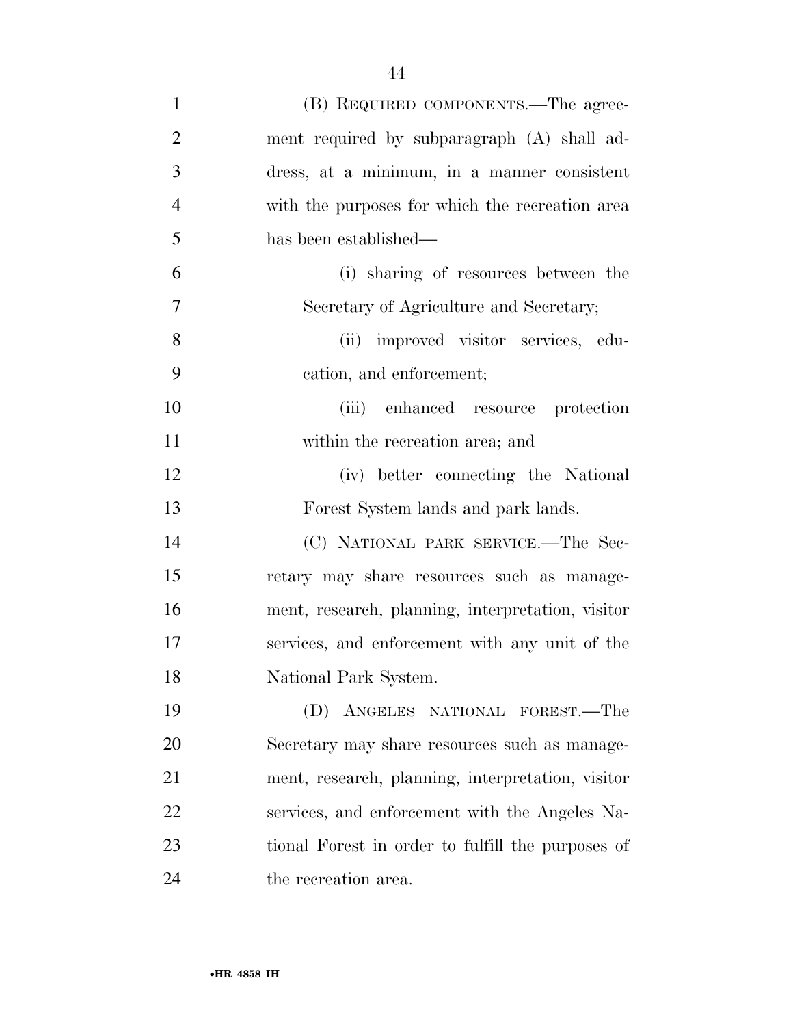| $\mathbf{1}$   | (B) REQUIRED COMPONENTS.—The agree-               |
|----------------|---------------------------------------------------|
| $\overline{2}$ | ment required by subparagraph (A) shall ad-       |
| 3              | dress, at a minimum, in a manner consistent       |
| $\overline{4}$ | with the purposes for which the recreation area   |
| 5              | has been established—                             |
| 6              | (i) sharing of resources between the              |
| $\overline{7}$ | Secretary of Agriculture and Secretary;           |
| 8              | (ii) improved visitor services, edu-              |
| 9              | cation, and enforcement;                          |
| 10             | enhanced resource protection<br>(iii)             |
| 11             | within the recreation area; and                   |
| 12             | (iv) better connecting the National               |
| 13             | Forest System lands and park lands.               |
| 14             | (C) NATIONAL PARK SERVICE.-The Sec-               |
| 15             | retary may share resources such as manage-        |
| 16             | ment, research, planning, interpretation, visitor |
| 17             | services, and enforcement with any unit of the    |
| 18             | National Park System.                             |
| 19             | (D) ANGELES NATIONAL FOREST.—The                  |
| 20             | Secretary may share resources such as manage-     |
| 21             | ment, research, planning, interpretation, visitor |
| 22             | services, and enforcement with the Angeles Na-    |
| 23             | tional Forest in order to fulfill the purposes of |
| 24             | the recreation area.                              |